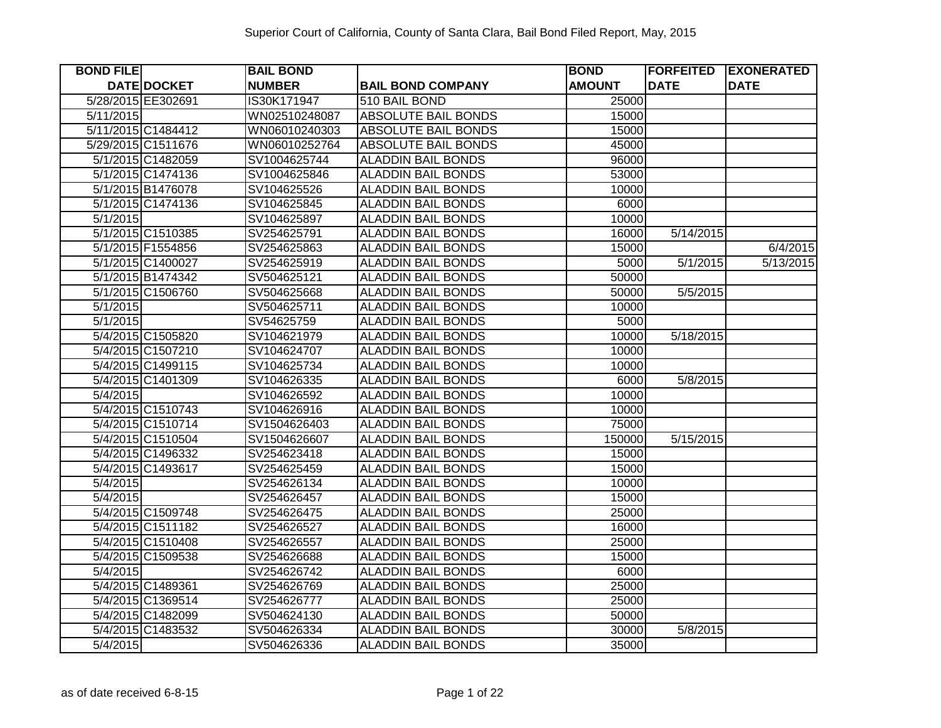| <b>BOND FILE</b>   | <b>BAIL BOND</b> |                            | <b>BOND</b>   | <b>FORFEITED</b> | <b>EXONERATED</b> |
|--------------------|------------------|----------------------------|---------------|------------------|-------------------|
| <b>DATE DOCKET</b> | <b>NUMBER</b>    | <b>BAIL BOND COMPANY</b>   | <b>AMOUNT</b> | <b>DATE</b>      | <b>DATE</b>       |
| 5/28/2015 EE302691 | IS30K171947      | 510 BAIL BOND              | 25000         |                  |                   |
| 5/11/2015          | WN02510248087    | <b>ABSOLUTE BAIL BONDS</b> | 15000         |                  |                   |
| 5/11/2015 C1484412 | WN06010240303    | <b>ABSOLUTE BAIL BONDS</b> | 15000         |                  |                   |
| 5/29/2015 C1511676 | WN06010252764    | <b>ABSOLUTE BAIL BONDS</b> | 45000         |                  |                   |
| 5/1/2015 C1482059  | SV1004625744     | <b>ALADDIN BAIL BONDS</b>  | 96000         |                  |                   |
| 5/1/2015 C1474136  | SV1004625846     | <b>ALADDIN BAIL BONDS</b>  | 53000         |                  |                   |
| 5/1/2015 B1476078  | SV104625526      | <b>ALADDIN BAIL BONDS</b>  | 10000         |                  |                   |
| 5/1/2015 C1474136  | SV104625845      | <b>ALADDIN BAIL BONDS</b>  | 6000          |                  |                   |
| 5/1/2015           | SV104625897      | <b>ALADDIN BAIL BONDS</b>  | 10000         |                  |                   |
| 5/1/2015 C1510385  | SV254625791      | <b>ALADDIN BAIL BONDS</b>  | 16000         | 5/14/2015        |                   |
| 5/1/2015 F1554856  | SV254625863      | <b>ALADDIN BAIL BONDS</b>  | 15000         |                  | 6/4/2015          |
| 5/1/2015 C1400027  | SV254625919      | <b>ALADDIN BAIL BONDS</b>  | 5000          | 5/1/2015         | 5/13/2015         |
| 5/1/2015 B1474342  | SV504625121      | <b>ALADDIN BAIL BONDS</b>  | 50000         |                  |                   |
| 5/1/2015 C1506760  | SV504625668      | ALADDIN BAIL BONDS         | 50000         | 5/5/2015         |                   |
| 5/1/2015           | SV504625711      | <b>ALADDIN BAIL BONDS</b>  | 10000         |                  |                   |
| 5/1/2015           | SV54625759       | <b>ALADDIN BAIL BONDS</b>  | 5000          |                  |                   |
| 5/4/2015 C1505820  | SV104621979      | <b>ALADDIN BAIL BONDS</b>  | 10000         | 5/18/2015        |                   |
| 5/4/2015 C1507210  | SV104624707      | <b>ALADDIN BAIL BONDS</b>  | 10000         |                  |                   |
| 5/4/2015 C1499115  | SV104625734      | <b>ALADDIN BAIL BONDS</b>  | 10000         |                  |                   |
| 5/4/2015 C1401309  | SV104626335      | <b>ALADDIN BAIL BONDS</b>  | 6000          | 5/8/2015         |                   |
| 5/4/2015           | SV104626592      | <b>ALADDIN BAIL BONDS</b>  | 10000         |                  |                   |
| 5/4/2015 C1510743  | SV104626916      | <b>ALADDIN BAIL BONDS</b>  | 10000         |                  |                   |
| 5/4/2015 C1510714  | SV1504626403     | <b>ALADDIN BAIL BONDS</b>  | 75000         |                  |                   |
| 5/4/2015 C1510504  | SV1504626607     | <b>ALADDIN BAIL BONDS</b>  | 150000        | 5/15/2015        |                   |
| 5/4/2015 C1496332  | SV254623418      | <b>ALADDIN BAIL BONDS</b>  | 15000         |                  |                   |
| 5/4/2015 C1493617  | SV254625459      | <b>ALADDIN BAIL BONDS</b>  | 15000         |                  |                   |
| $\sqrt{5/4/2015}$  | SV254626134      | <b>ALADDIN BAIL BONDS</b>  | 10000         |                  |                   |
| 5/4/2015           | SV254626457      | <b>ALADDIN BAIL BONDS</b>  | 15000         |                  |                   |
| 5/4/2015 C1509748  | SV254626475      | <b>ALADDIN BAIL BONDS</b>  | 25000         |                  |                   |
| 5/4/2015 C1511182  | SV254626527      | <b>ALADDIN BAIL BONDS</b>  | 16000         |                  |                   |
| 5/4/2015 C1510408  | SV254626557      | <b>ALADDIN BAIL BONDS</b>  | 25000         |                  |                   |
| 5/4/2015 C1509538  | SV254626688      | <b>ALADDIN BAIL BONDS</b>  | 15000         |                  |                   |
| 5/4/2015           | SV254626742      | <b>ALADDIN BAIL BONDS</b>  | 6000          |                  |                   |
| 5/4/2015 C1489361  | SV254626769      | <b>ALADDIN BAIL BONDS</b>  | 25000         |                  |                   |
| 5/4/2015 C1369514  | SV254626777      | <b>ALADDIN BAIL BONDS</b>  | 25000         |                  |                   |
| 5/4/2015 C1482099  | SV504624130      | <b>ALADDIN BAIL BONDS</b>  | 50000         |                  |                   |
| 5/4/2015 C1483532  | SV504626334      | <b>ALADDIN BAIL BONDS</b>  | 30000         | 5/8/2015         |                   |
| 5/4/2015           | SV504626336      | <b>ALADDIN BAIL BONDS</b>  | 35000         |                  |                   |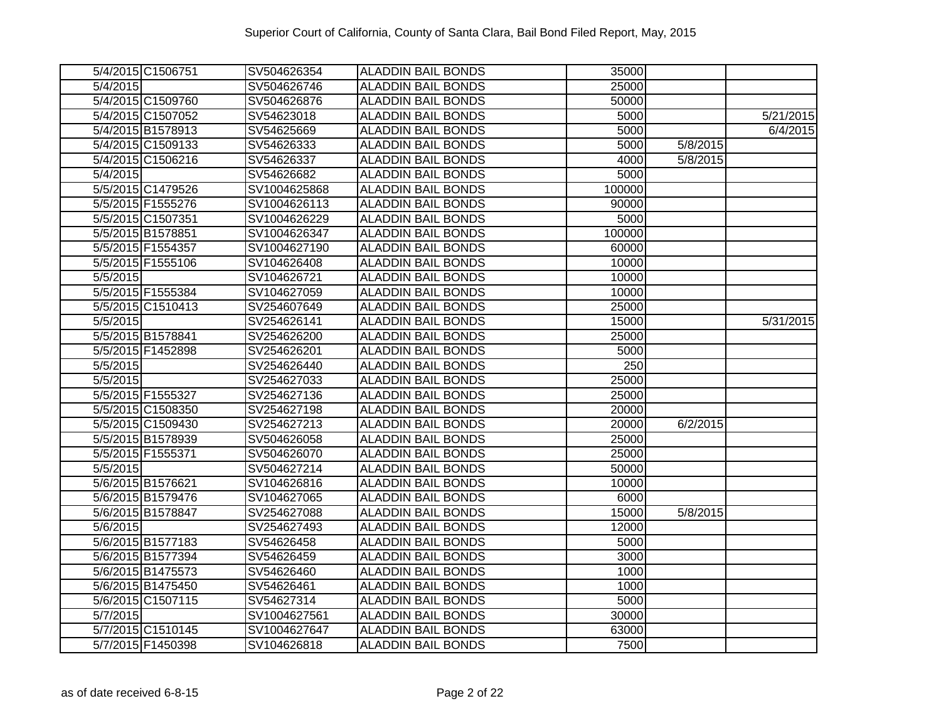| 5/4/2015 C1506751 | SV504626354  | <b>ALADDIN BAIL BONDS</b> | 35000  |          |           |
|-------------------|--------------|---------------------------|--------|----------|-----------|
| 5/4/2015          | SV504626746  | <b>ALADDIN BAIL BONDS</b> | 25000  |          |           |
| 5/4/2015 C1509760 | SV504626876  | <b>ALADDIN BAIL BONDS</b> | 50000  |          |           |
| 5/4/2015 C1507052 | SV54623018   | <b>ALADDIN BAIL BONDS</b> | 5000   |          | 5/21/2015 |
| 5/4/2015 B1578913 | SV54625669   | <b>ALADDIN BAIL BONDS</b> | 5000   |          | 6/4/2015  |
| 5/4/2015 C1509133 | SV54626333   | <b>ALADDIN BAIL BONDS</b> | 5000   | 5/8/2015 |           |
| 5/4/2015 C1506216 | SV54626337   | <b>ALADDIN BAIL BONDS</b> | 4000   | 5/8/2015 |           |
| 5/4/2015          | SV54626682   | <b>ALADDIN BAIL BONDS</b> | 5000   |          |           |
| 5/5/2015 C1479526 | SV1004625868 | <b>ALADDIN BAIL BONDS</b> | 100000 |          |           |
| 5/5/2015 F1555276 | SV1004626113 | <b>ALADDIN BAIL BONDS</b> | 90000  |          |           |
| 5/5/2015 C1507351 | SV1004626229 | <b>ALADDIN BAIL BONDS</b> | 5000   |          |           |
| 5/5/2015 B1578851 | SV1004626347 | <b>ALADDIN BAIL BONDS</b> | 100000 |          |           |
| 5/5/2015 F1554357 | SV1004627190 | <b>ALADDIN BAIL BONDS</b> | 60000  |          |           |
| 5/5/2015 F1555106 | SV104626408  | <b>ALADDIN BAIL BONDS</b> | 10000  |          |           |
| 5/5/2015          | SV104626721  | <b>ALADDIN BAIL BONDS</b> | 10000  |          |           |
| 5/5/2015 F1555384 | SV104627059  | <b>ALADDIN BAIL BONDS</b> | 10000  |          |           |
| 5/5/2015 C1510413 | SV254607649  | <b>ALADDIN BAIL BONDS</b> | 25000  |          |           |
| 5/5/2015          | SV254626141  | <b>ALADDIN BAIL BONDS</b> | 15000  |          | 5/31/2015 |
| 5/5/2015 B1578841 | SV254626200  | <b>ALADDIN BAIL BONDS</b> | 25000  |          |           |
| 5/5/2015 F1452898 | SV254626201  | <b>ALADDIN BAIL BONDS</b> | 5000   |          |           |
| 5/5/2015          | SV254626440  | <b>ALADDIN BAIL BONDS</b> | 250    |          |           |
| 5/5/2015          | SV254627033  | <b>ALADDIN BAIL BONDS</b> | 25000  |          |           |
| 5/5/2015 F1555327 | SV254627136  | <b>ALADDIN BAIL BONDS</b> | 25000  |          |           |
| 5/5/2015 C1508350 | SV254627198  | <b>ALADDIN BAIL BONDS</b> | 20000  |          |           |
| 5/5/2015 C1509430 | SV254627213  | <b>ALADDIN BAIL BONDS</b> | 20000  | 6/2/2015 |           |
| 5/5/2015 B1578939 | SV504626058  | <b>ALADDIN BAIL BONDS</b> | 25000  |          |           |
| 5/5/2015 F1555371 | SV504626070  | <b>ALADDIN BAIL BONDS</b> | 25000  |          |           |
| 5/5/2015          | SV504627214  | <b>ALADDIN BAIL BONDS</b> | 50000  |          |           |
| 5/6/2015 B1576621 | SV104626816  | <b>ALADDIN BAIL BONDS</b> | 10000  |          |           |
| 5/6/2015 B1579476 | SV104627065  | <b>ALADDIN BAIL BONDS</b> | 6000   |          |           |
| 5/6/2015 B1578847 | SV254627088  | <b>ALADDIN BAIL BONDS</b> | 15000  | 5/8/2015 |           |
| 5/6/2015          | SV254627493  | <b>ALADDIN BAIL BONDS</b> | 12000  |          |           |
| 5/6/2015 B1577183 | SV54626458   | <b>ALADDIN BAIL BONDS</b> | 5000   |          |           |
| 5/6/2015 B1577394 | SV54626459   | <b>ALADDIN BAIL BONDS</b> | 3000   |          |           |
| 5/6/2015 B1475573 | SV54626460   | <b>ALADDIN BAIL BONDS</b> | 1000   |          |           |
| 5/6/2015 B1475450 | SV54626461   | <b>ALADDIN BAIL BONDS</b> | 1000   |          |           |
| 5/6/2015 C1507115 | SV54627314   | <b>ALADDIN BAIL BONDS</b> | 5000   |          |           |
| 5/7/2015          | SV1004627561 | <b>ALADDIN BAIL BONDS</b> | 30000  |          |           |
| 5/7/2015 C1510145 | SV1004627647 | <b>ALADDIN BAIL BONDS</b> | 63000  |          |           |
| 5/7/2015 F1450398 | SV104626818  | <b>ALADDIN BAIL BONDS</b> | 7500   |          |           |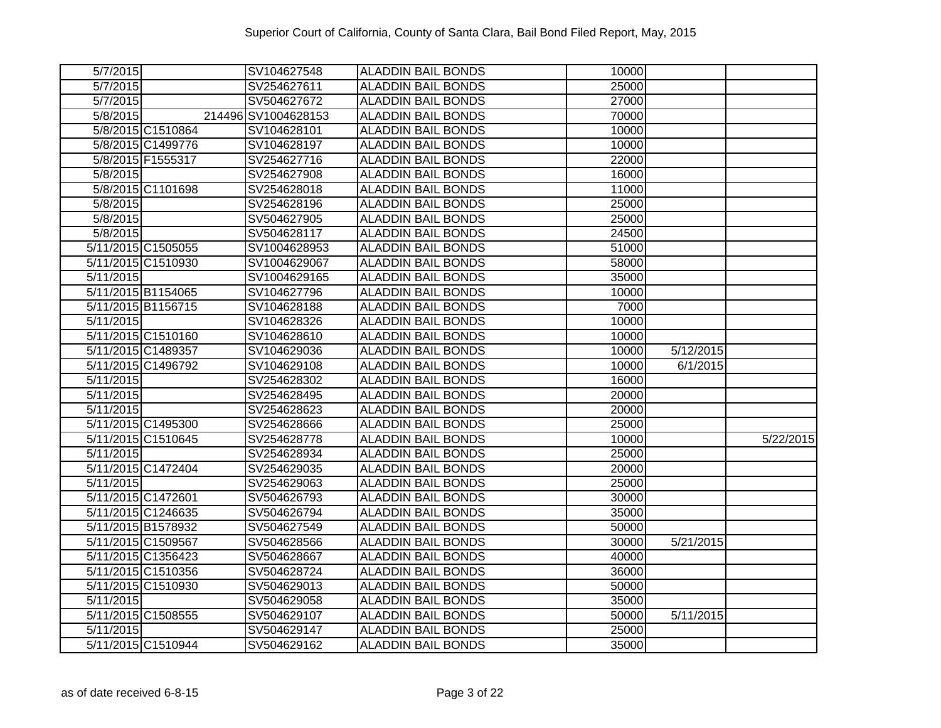| 5/7/2015  |                    | SV104627548         | <b>ALADDIN BAIL BONDS</b> | 10000 |           |           |
|-----------|--------------------|---------------------|---------------------------|-------|-----------|-----------|
| 5/7/2015  |                    | SV254627611         | <b>ALADDIN BAIL BONDS</b> | 25000 |           |           |
| 5/7/2015  |                    | SV504627672         | <b>ALADDIN BAIL BONDS</b> | 27000 |           |           |
| 5/8/2015  |                    | 214496 SV1004628153 | <b>ALADDIN BAIL BONDS</b> | 70000 |           |           |
|           | 5/8/2015 C1510864  | SV104628101         | <b>ALADDIN BAIL BONDS</b> | 10000 |           |           |
|           | 5/8/2015 C1499776  | SV104628197         | <b>ALADDIN BAIL BONDS</b> | 10000 |           |           |
|           | 5/8/2015 F1555317  | SV254627716         | <b>ALADDIN BAIL BONDS</b> | 22000 |           |           |
| 5/8/2015  |                    | SV254627908         | <b>ALADDIN BAIL BONDS</b> | 16000 |           |           |
|           | 5/8/2015 C1101698  | SV254628018         | <b>ALADDIN BAIL BONDS</b> | 11000 |           |           |
| 5/8/2015  |                    | SV254628196         | <b>ALADDIN BAIL BONDS</b> | 25000 |           |           |
| 5/8/2015  |                    | SV504627905         | <b>ALADDIN BAIL BONDS</b> | 25000 |           |           |
| 5/8/2015  |                    | SV504628117         | <b>ALADDIN BAIL BONDS</b> | 24500 |           |           |
|           | 5/11/2015 C1505055 | SV1004628953        | <b>ALADDIN BAIL BONDS</b> | 51000 |           |           |
|           | 5/11/2015 C1510930 | SV1004629067        | <b>ALADDIN BAIL BONDS</b> | 58000 |           |           |
| 5/11/2015 |                    | SV1004629165        | <b>ALADDIN BAIL BONDS</b> | 35000 |           |           |
|           | 5/11/2015 B1154065 | SV104627796         | ALADDIN BAIL BONDS        | 10000 |           |           |
|           | 5/11/2015 B1156715 | SV104628188         | <b>ALADDIN BAIL BONDS</b> | 7000  |           |           |
| 5/11/2015 |                    | SV104628326         | <b>ALADDIN BAIL BONDS</b> | 10000 |           |           |
|           | 5/11/2015 C1510160 | SV104628610         | <b>ALADDIN BAIL BONDS</b> | 10000 |           |           |
|           | 5/11/2015 C1489357 | SV104629036         | <b>ALADDIN BAIL BONDS</b> | 10000 | 5/12/2015 |           |
|           | 5/11/2015 C1496792 | SV104629108         | <b>ALADDIN BAIL BONDS</b> | 10000 | 6/1/2015  |           |
| 5/11/2015 |                    | SV254628302         | <b>ALADDIN BAIL BONDS</b> | 16000 |           |           |
| 5/11/2015 |                    | SV254628495         | <b>ALADDIN BAIL BONDS</b> | 20000 |           |           |
| 5/11/2015 |                    | SV254628623         | <b>ALADDIN BAIL BONDS</b> | 20000 |           |           |
|           | 5/11/2015 C1495300 | SV254628666         | <b>ALADDIN BAIL BONDS</b> | 25000 |           |           |
|           | 5/11/2015 C1510645 | SV254628778         | <b>ALADDIN BAIL BONDS</b> | 10000 |           | 5/22/2015 |
| 5/11/2015 |                    | SV254628934         | <b>ALADDIN BAIL BONDS</b> | 25000 |           |           |
|           | 5/11/2015 C1472404 | SV254629035         | <b>ALADDIN BAIL BONDS</b> | 20000 |           |           |
| 5/11/2015 |                    | SV254629063         | <b>ALADDIN BAIL BONDS</b> | 25000 |           |           |
|           | 5/11/2015 C1472601 | SV504626793         | <b>ALADDIN BAIL BONDS</b> | 30000 |           |           |
|           | 5/11/2015 C1246635 | SV504626794         | <b>ALADDIN BAIL BONDS</b> | 35000 |           |           |
|           | 5/11/2015 B1578932 | SV504627549         | <b>ALADDIN BAIL BONDS</b> | 50000 |           |           |
|           | 5/11/2015 C1509567 | SV504628566         | <b>ALADDIN BAIL BONDS</b> | 30000 | 5/21/2015 |           |
|           | 5/11/2015 C1356423 | SV504628667         | <b>ALADDIN BAIL BONDS</b> | 40000 |           |           |
|           | 5/11/2015 C1510356 | SV504628724         | <b>ALADDIN BAIL BONDS</b> | 36000 |           |           |
|           | 5/11/2015 C1510930 | SV504629013         | <b>ALADDIN BAIL BONDS</b> | 50000 |           |           |
| 5/11/2015 |                    | SV504629058         | <b>ALADDIN BAIL BONDS</b> | 35000 |           |           |
|           | 5/11/2015 C1508555 | SV504629107         | <b>ALADDIN BAIL BONDS</b> | 50000 | 5/11/2015 |           |
| 5/11/2015 |                    | SV504629147         | <b>ALADDIN BAIL BONDS</b> | 25000 |           |           |
|           | 5/11/2015 C1510944 | SV504629162         | <b>ALADDIN BAIL BONDS</b> | 35000 |           |           |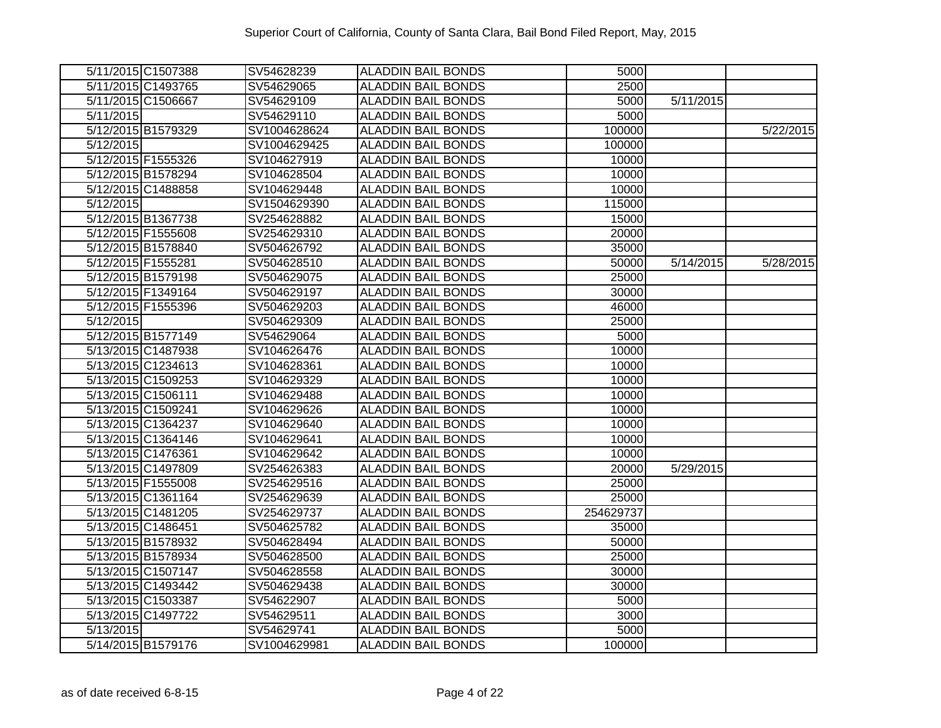|           | 5/11/2015 C1507388 | SV54628239   | <b>ALADDIN BAIL BONDS</b> | 5000      |           |           |
|-----------|--------------------|--------------|---------------------------|-----------|-----------|-----------|
|           | 5/11/2015 C1493765 | SV54629065   | <b>ALADDIN BAIL BONDS</b> | 2500      |           |           |
|           | 5/11/2015 C1506667 | SV54629109   | <b>ALADDIN BAIL BONDS</b> | 5000      | 5/11/2015 |           |
| 5/11/2015 |                    | SV54629110   | <b>ALADDIN BAIL BONDS</b> | 5000      |           |           |
|           | 5/12/2015 B1579329 | SV1004628624 | <b>ALADDIN BAIL BONDS</b> | 100000    |           | 5/22/2015 |
| 5/12/2015 |                    | SV1004629425 | <b>ALADDIN BAIL BONDS</b> | 100000    |           |           |
|           | 5/12/2015 F1555326 | SV104627919  | <b>ALADDIN BAIL BONDS</b> | 10000     |           |           |
|           | 5/12/2015 B1578294 | SV104628504  | <b>ALADDIN BAIL BONDS</b> | 10000     |           |           |
|           | 5/12/2015 C1488858 | SV104629448  | <b>ALADDIN BAIL BONDS</b> | 10000     |           |           |
| 5/12/2015 |                    | SV1504629390 | <b>ALADDIN BAIL BONDS</b> | 115000    |           |           |
|           | 5/12/2015 B1367738 | SV254628882  | <b>ALADDIN BAIL BONDS</b> | 15000     |           |           |
|           | 5/12/2015 F1555608 | SV254629310  | <b>ALADDIN BAIL BONDS</b> | 20000     |           |           |
|           | 5/12/2015 B1578840 | SV504626792  | <b>ALADDIN BAIL BONDS</b> | 35000     |           |           |
|           | 5/12/2015 F1555281 | SV504628510  | <b>ALADDIN BAIL BONDS</b> | 50000     | 5/14/2015 | 5/28/2015 |
|           | 5/12/2015 B1579198 | SV504629075  | <b>ALADDIN BAIL BONDS</b> | 25000     |           |           |
|           | 5/12/2015 F1349164 | SV504629197  | ALADDIN BAIL BONDS        | 30000     |           |           |
|           | 5/12/2015 F1555396 | SV504629203  | <b>ALADDIN BAIL BONDS</b> | 46000     |           |           |
| 5/12/2015 |                    | SV504629309  | <b>ALADDIN BAIL BONDS</b> | 25000     |           |           |
|           | 5/12/2015 B1577149 | SV54629064   | <b>ALADDIN BAIL BONDS</b> | 5000      |           |           |
|           | 5/13/2015 C1487938 | SV104626476  | <b>ALADDIN BAIL BONDS</b> | 10000     |           |           |
|           | 5/13/2015 C1234613 | SV104628361  | <b>ALADDIN BAIL BONDS</b> | 10000     |           |           |
|           | 5/13/2015 C1509253 | SV104629329  | <b>ALADDIN BAIL BONDS</b> | 10000     |           |           |
|           | 5/13/2015 C1506111 | SV104629488  | <b>ALADDIN BAIL BONDS</b> | 10000     |           |           |
|           | 5/13/2015 C1509241 | SV104629626  | <b>ALADDIN BAIL BONDS</b> | 10000     |           |           |
|           | 5/13/2015 C1364237 | SV104629640  | <b>ALADDIN BAIL BONDS</b> | 10000     |           |           |
|           | 5/13/2015 C1364146 | SV104629641  | <b>ALADDIN BAIL BONDS</b> | 10000     |           |           |
|           | 5/13/2015 C1476361 | SV104629642  | <b>ALADDIN BAIL BONDS</b> | 10000     |           |           |
|           | 5/13/2015 C1497809 | SV254626383  | <b>ALADDIN BAIL BONDS</b> | 20000     | 5/29/2015 |           |
|           | 5/13/2015 F1555008 | SV254629516  | <b>ALADDIN BAIL BONDS</b> | 25000     |           |           |
|           | 5/13/2015 C1361164 | SV254629639  | <b>ALADDIN BAIL BONDS</b> | 25000     |           |           |
|           | 5/13/2015 C1481205 | SV254629737  | ALADDIN BAIL BONDS        | 254629737 |           |           |
|           | 5/13/2015 C1486451 | SV504625782  | <b>ALADDIN BAIL BONDS</b> | 35000     |           |           |
|           | 5/13/2015 B1578932 | SV504628494  | <b>ALADDIN BAIL BONDS</b> | 50000     |           |           |
|           | 5/13/2015 B1578934 | SV504628500  | <b>ALADDIN BAIL BONDS</b> | 25000     |           |           |
|           | 5/13/2015 C1507147 | SV504628558  | <b>ALADDIN BAIL BONDS</b> | 30000     |           |           |
|           | 5/13/2015 C1493442 | SV504629438  | <b>ALADDIN BAIL BONDS</b> | 30000     |           |           |
|           | 5/13/2015 C1503387 | SV54622907   | <b>ALADDIN BAIL BONDS</b> | 5000      |           |           |
|           | 5/13/2015 C1497722 | SV54629511   | <b>ALADDIN BAIL BONDS</b> | 3000      |           |           |
| 5/13/2015 |                    | SV54629741   | <b>ALADDIN BAIL BONDS</b> | 5000      |           |           |
|           | 5/14/2015 B1579176 | SV1004629981 | <b>ALADDIN BAIL BONDS</b> | 100000    |           |           |
|           |                    |              |                           |           |           |           |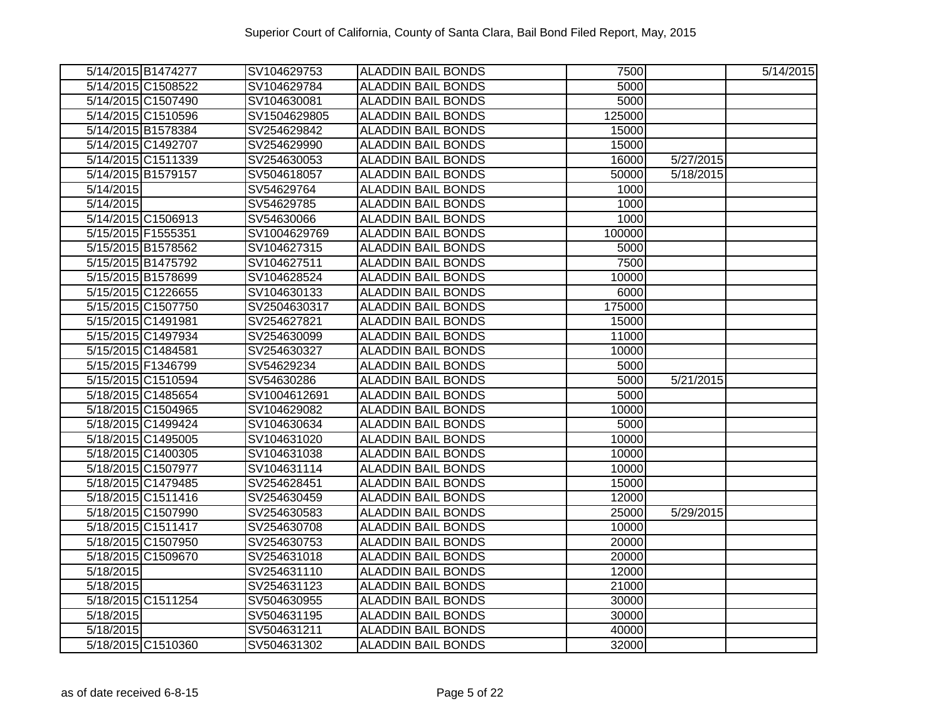|                        | 5/14/2015 B1474277 | SV104629753  | <b>ALADDIN BAIL BONDS</b> | 7500   |           | 5/14/2015 |
|------------------------|--------------------|--------------|---------------------------|--------|-----------|-----------|
|                        | 5/14/2015 C1508522 | SV104629784  | <b>ALADDIN BAIL BONDS</b> | 5000   |           |           |
|                        | 5/14/2015 C1507490 | SV104630081  | <b>ALADDIN BAIL BONDS</b> | 5000   |           |           |
|                        | 5/14/2015 C1510596 | SV1504629805 | <b>ALADDIN BAIL BONDS</b> | 125000 |           |           |
|                        | 5/14/2015 B1578384 | SV254629842  | <b>ALADDIN BAIL BONDS</b> | 15000  |           |           |
|                        | 5/14/2015 C1492707 | SV254629990  | <b>ALADDIN BAIL BONDS</b> | 15000  |           |           |
|                        | 5/14/2015 C1511339 | SV254630053  | <b>ALADDIN BAIL BONDS</b> | 16000  | 5/27/2015 |           |
|                        | 5/14/2015 B1579157 | SV504618057  | <b>ALADDIN BAIL BONDS</b> | 50000  | 5/18/2015 |           |
| 5/14/2015              |                    | SV54629764   | <b>ALADDIN BAIL BONDS</b> | 1000   |           |           |
| 5/14/2015              |                    | SV54629785   | <b>ALADDIN BAIL BONDS</b> | 1000   |           |           |
|                        | 5/14/2015 C1506913 | SV54630066   | <b>ALADDIN BAIL BONDS</b> | 1000   |           |           |
|                        | 5/15/2015 F1555351 | SV1004629769 | <b>ALADDIN BAIL BONDS</b> | 100000 |           |           |
|                        | 5/15/2015 B1578562 | SV104627315  | <b>ALADDIN BAIL BONDS</b> | 5000   |           |           |
|                        | 5/15/2015 B1475792 | SV104627511  | <b>ALADDIN BAIL BONDS</b> | 7500   |           |           |
|                        | 5/15/2015 B1578699 | SV104628524  | <b>ALADDIN BAIL BONDS</b> | 10000  |           |           |
|                        | 5/15/2015 C1226655 | SV104630133  | <b>ALADDIN BAIL BONDS</b> | 6000   |           |           |
|                        | 5/15/2015 C1507750 | SV2504630317 | <b>ALADDIN BAIL BONDS</b> | 175000 |           |           |
|                        | 5/15/2015 C1491981 | SV254627821  | <b>ALADDIN BAIL BONDS</b> | 15000  |           |           |
|                        | 5/15/2015 C1497934 | SV254630099  | <b>ALADDIN BAIL BONDS</b> | 11000  |           |           |
|                        | 5/15/2015 C1484581 | SV254630327  | <b>ALADDIN BAIL BONDS</b> | 10000  |           |           |
|                        | 5/15/2015 F1346799 | SV54629234   | <b>ALADDIN BAIL BONDS</b> | 5000   |           |           |
|                        | 5/15/2015 C1510594 | SV54630286   | <b>ALADDIN BAIL BONDS</b> | 5000   | 5/21/2015 |           |
|                        | 5/18/2015 C1485654 | SV1004612691 | <b>ALADDIN BAIL BONDS</b> | 5000   |           |           |
|                        | 5/18/2015 C1504965 | SV104629082  | <b>ALADDIN BAIL BONDS</b> | 10000  |           |           |
|                        | 5/18/2015 C1499424 | SV104630634  | <b>ALADDIN BAIL BONDS</b> | 5000   |           |           |
|                        | 5/18/2015 C1495005 | SV104631020  | <b>ALADDIN BAIL BONDS</b> | 10000  |           |           |
|                        | 5/18/2015 C1400305 | SV104631038  | <b>ALADDIN BAIL BONDS</b> | 10000  |           |           |
|                        | 5/18/2015 C1507977 | SV104631114  | <b>ALADDIN BAIL BONDS</b> | 10000  |           |           |
|                        | 5/18/2015 C1479485 | SV254628451  | <b>ALADDIN BAIL BONDS</b> | 15000  |           |           |
|                        | 5/18/2015 C1511416 | SV254630459  | <b>ALADDIN BAIL BONDS</b> | 12000  |           |           |
|                        | 5/18/2015 C1507990 | SV254630583  | <b>ALADDIN BAIL BONDS</b> | 25000  | 5/29/2015 |           |
|                        | 5/18/2015 C1511417 | SV254630708  | <b>ALADDIN BAIL BONDS</b> | 10000  |           |           |
|                        | 5/18/2015 C1507950 | SV254630753  | <b>ALADDIN BAIL BONDS</b> | 20000  |           |           |
|                        | 5/18/2015 C1509670 | SV254631018  | <b>ALADDIN BAIL BONDS</b> | 20000  |           |           |
| $\overline{5/18/2015}$ |                    | SV254631110  | <b>ALADDIN BAIL BONDS</b> | 12000  |           |           |
| 5/18/2015              |                    | SV254631123  | <b>ALADDIN BAIL BONDS</b> | 21000  |           |           |
|                        | 5/18/2015 C1511254 | SV504630955  | <b>ALADDIN BAIL BONDS</b> | 30000  |           |           |
| 5/18/2015              |                    | SV504631195  | <b>ALADDIN BAIL BONDS</b> | 30000  |           |           |
| 5/18/2015              |                    | SV504631211  | <b>ALADDIN BAIL BONDS</b> | 40000  |           |           |
|                        | 5/18/2015 C1510360 | SV504631302  | <b>ALADDIN BAIL BONDS</b> | 32000  |           |           |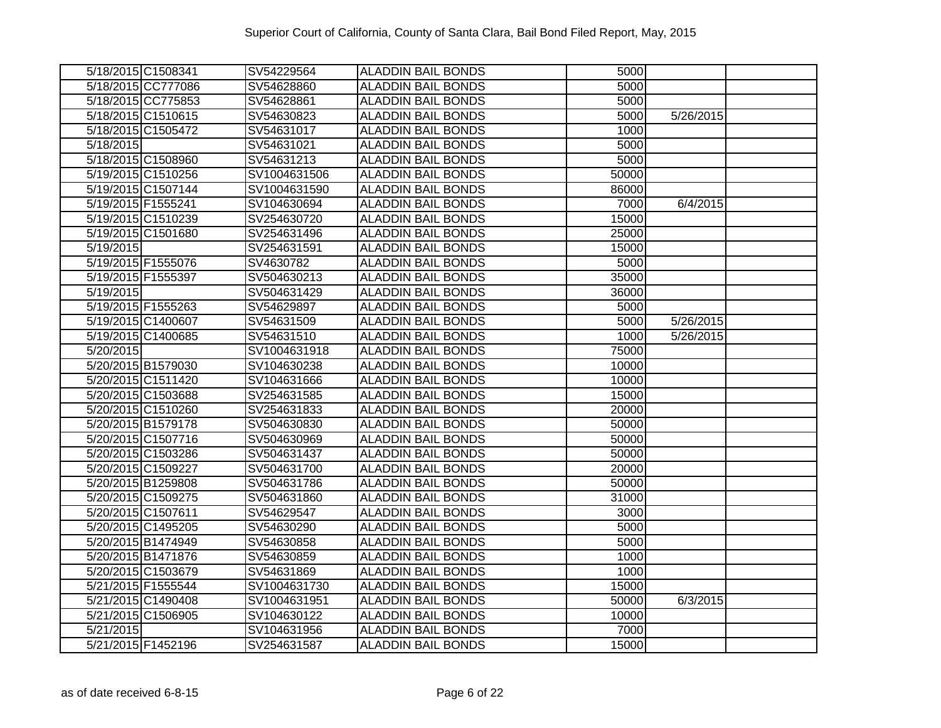| 5/18/2015 C1508341 | SV54229564   | <b>ALADDIN BAIL BONDS</b> | 5000               |           |  |
|--------------------|--------------|---------------------------|--------------------|-----------|--|
| 5/18/2015 CC777086 | SV54628860   | <b>ALADDIN BAIL BONDS</b> | 5000               |           |  |
| 5/18/2015 CC775853 | SV54628861   | <b>ALADDIN BAIL BONDS</b> | 5000               |           |  |
| 5/18/2015 C1510615 | SV54630823   | <b>ALADDIN BAIL BONDS</b> | 5000               | 5/26/2015 |  |
| 5/18/2015 C1505472 | SV54631017   | <b>ALADDIN BAIL BONDS</b> | 1000               |           |  |
| 5/18/2015          | SV54631021   | <b>ALADDIN BAIL BONDS</b> | 5000               |           |  |
| 5/18/2015 C1508960 | SV54631213   | <b>ALADDIN BAIL BONDS</b> | 5000               |           |  |
| 5/19/2015 C1510256 | SV1004631506 | <b>ALADDIN BAIL BONDS</b> | 50000              |           |  |
| 5/19/2015 C1507144 | SV1004631590 | <b>ALADDIN BAIL BONDS</b> | 86000              |           |  |
| 5/19/2015 F1555241 | SV104630694  | <b>ALADDIN BAIL BONDS</b> | 7000               | 6/4/2015  |  |
| 5/19/2015 C1510239 | SV254630720  | <b>ALADDIN BAIL BONDS</b> | 15000              |           |  |
| 5/19/2015 C1501680 | SV254631496  | <b>ALADDIN BAIL BONDS</b> | 25000              |           |  |
| 5/19/2015          | SV254631591  | <b>ALADDIN BAIL BONDS</b> | 15000              |           |  |
| 5/19/2015 F1555076 | SV4630782    | <b>ALADDIN BAIL BONDS</b> | 5000               |           |  |
| 5/19/2015 F1555397 | SV504630213  | <b>ALADDIN BAIL BONDS</b> | 35000              |           |  |
| 5/19/2015          | SV504631429  | <b>ALADDIN BAIL BONDS</b> | 36000              |           |  |
| 5/19/2015 F1555263 | SV54629897   | <b>ALADDIN BAIL BONDS</b> | 5000               |           |  |
| 5/19/2015 C1400607 | SV54631509   | <b>ALADDIN BAIL BONDS</b> | 5000               | 5/26/2015 |  |
| 5/19/2015 C1400685 | SV54631510   | <b>ALADDIN BAIL BONDS</b> | 1000               | 5/26/2015 |  |
| 5/20/2015          | SV1004631918 | <b>ALADDIN BAIL BONDS</b> | 75000              |           |  |
| 5/20/2015 B1579030 | SV104630238  | <b>ALADDIN BAIL BONDS</b> | 10000              |           |  |
| 5/20/2015 C1511420 | SV104631666  | <b>ALADDIN BAIL BONDS</b> | 10000              |           |  |
| 5/20/2015 C1503688 | SV254631585  | <b>ALADDIN BAIL BONDS</b> | 15000              |           |  |
| 5/20/2015 C1510260 | SV254631833  | <b>ALADDIN BAIL BONDS</b> | 20000              |           |  |
| 5/20/2015 B1579178 | SV504630830  | <b>ALADDIN BAIL BONDS</b> | 50000              |           |  |
| 5/20/2015 C1507716 | SV504630969  | <b>ALADDIN BAIL BONDS</b> | 50000              |           |  |
| 5/20/2015 C1503286 | SV504631437  | <b>ALADDIN BAIL BONDS</b> | $\overline{50000}$ |           |  |
| 5/20/2015 C1509227 | SV504631700  | <b>ALADDIN BAIL BONDS</b> | 20000              |           |  |
| 5/20/2015 B1259808 | SV504631786  | <b>ALADDIN BAIL BONDS</b> | 50000              |           |  |
| 5/20/2015 C1509275 | SV504631860  | ALADDIN BAIL BONDS        | 31000              |           |  |
| 5/20/2015 C1507611 | SV54629547   | <b>ALADDIN BAIL BONDS</b> | 3000               |           |  |
| 5/20/2015 C1495205 | SV54630290   | <b>ALADDIN BAIL BONDS</b> | 5000               |           |  |
| 5/20/2015 B1474949 | SV54630858   | <b>ALADDIN BAIL BONDS</b> | 5000               |           |  |
| 5/20/2015 B1471876 | SV54630859   | <b>ALADDIN BAIL BONDS</b> | 1000               |           |  |
| 5/20/2015 C1503679 | SV54631869   | <b>ALADDIN BAIL BONDS</b> | 1000               |           |  |
| 5/21/2015 F1555544 | SV1004631730 | <b>ALADDIN BAIL BONDS</b> | 15000              |           |  |
| 5/21/2015 C1490408 | SV1004631951 | <b>ALADDIN BAIL BONDS</b> | 50000              | 6/3/2015  |  |
| 5/21/2015 C1506905 | SV104630122  | <b>ALADDIN BAIL BONDS</b> | 10000              |           |  |
| 5/21/2015          | SV104631956  | <b>ALADDIN BAIL BONDS</b> | 7000               |           |  |
| 5/21/2015 F1452196 | SV254631587  | <b>ALADDIN BAIL BONDS</b> | 15000              |           |  |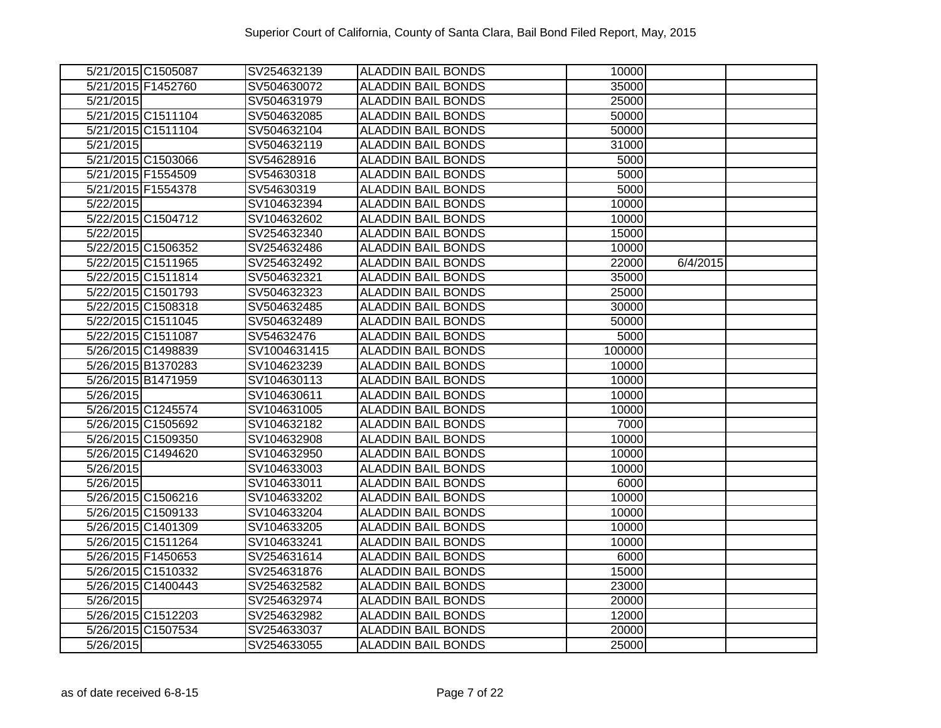|                    | 5/21/2015 C1505087 | SV254632139  | <b>ALADDIN BAIL BONDS</b> | 10000  |          |  |
|--------------------|--------------------|--------------|---------------------------|--------|----------|--|
| 5/21/2015 F1452760 |                    | SV504630072  | <b>ALADDIN BAIL BONDS</b> | 35000  |          |  |
| 5/21/2015          |                    | SV504631979  | <b>ALADDIN BAIL BONDS</b> | 25000  |          |  |
|                    | 5/21/2015 C1511104 | SV504632085  | <b>ALADDIN BAIL BONDS</b> | 50000  |          |  |
|                    | 5/21/2015 C1511104 | SV504632104  | <b>ALADDIN BAIL BONDS</b> | 50000  |          |  |
| 5/21/2015          |                    | SV504632119  | <b>ALADDIN BAIL BONDS</b> | 31000  |          |  |
|                    | 5/21/2015 C1503066 | SV54628916   | <b>ALADDIN BAIL BONDS</b> | 5000   |          |  |
| 5/21/2015 F1554509 |                    | SV54630318   | <b>ALADDIN BAIL BONDS</b> | 5000   |          |  |
| 5/21/2015 F1554378 |                    | SV54630319   | <b>ALADDIN BAIL BONDS</b> | 5000   |          |  |
| 5/22/2015          |                    | SV104632394  | <b>ALADDIN BAIL BONDS</b> | 10000  |          |  |
|                    | 5/22/2015 C1504712 | SV104632602  | <b>ALADDIN BAIL BONDS</b> | 10000  |          |  |
| 5/22/2015          |                    | SV254632340  | <b>ALADDIN BAIL BONDS</b> | 15000  |          |  |
|                    | 5/22/2015 C1506352 | SV254632486  | <b>ALADDIN BAIL BONDS</b> | 10000  |          |  |
|                    | 5/22/2015 C1511965 | SV254632492  | <b>ALADDIN BAIL BONDS</b> | 22000  | 6/4/2015 |  |
|                    | 5/22/2015 C1511814 | SV504632321  | <b>ALADDIN BAIL BONDS</b> | 35000  |          |  |
|                    | 5/22/2015 C1501793 | SV504632323  | <b>ALADDIN BAIL BONDS</b> | 25000  |          |  |
|                    | 5/22/2015 C1508318 | SV504632485  | <b>ALADDIN BAIL BONDS</b> | 30000  |          |  |
|                    | 5/22/2015 C1511045 | SV504632489  | <b>ALADDIN BAIL BONDS</b> | 50000  |          |  |
| 5/22/2015 C1511087 |                    | SV54632476   | <b>ALADDIN BAIL BONDS</b> | 5000   |          |  |
|                    | 5/26/2015 C1498839 | SV1004631415 | <b>ALADDIN BAIL BONDS</b> | 100000 |          |  |
|                    | 5/26/2015 B1370283 | SV104623239  | <b>ALADDIN BAIL BONDS</b> | 10000  |          |  |
|                    | 5/26/2015 B1471959 | SV104630113  | <b>ALADDIN BAIL BONDS</b> | 10000  |          |  |
| 5/26/2015          |                    | SV104630611  | <b>ALADDIN BAIL BONDS</b> | 10000  |          |  |
|                    | 5/26/2015 C1245574 | SV104631005  | <b>ALADDIN BAIL BONDS</b> | 10000  |          |  |
|                    | 5/26/2015 C1505692 | SV104632182  | <b>ALADDIN BAIL BONDS</b> | 7000   |          |  |
|                    | 5/26/2015 C1509350 | SV104632908  | <b>ALADDIN BAIL BONDS</b> | 10000  |          |  |
|                    | 5/26/2015 C1494620 | SV104632950  | <b>ALADDIN BAIL BONDS</b> | 10000  |          |  |
| 5/26/2015          |                    | SV104633003  | <b>ALADDIN BAIL BONDS</b> | 10000  |          |  |
| 5/26/2015          |                    | SV104633011  | <b>ALADDIN BAIL BONDS</b> | 6000   |          |  |
|                    | 5/26/2015 C1506216 | SV104633202  | <b>ALADDIN BAIL BONDS</b> | 10000  |          |  |
|                    | 5/26/2015 C1509133 | SV104633204  | <b>ALADDIN BAIL BONDS</b> | 10000  |          |  |
|                    | 5/26/2015 C1401309 | SV104633205  | <b>ALADDIN BAIL BONDS</b> | 10000  |          |  |
|                    | 5/26/2015 C1511264 | SV104633241  | <b>ALADDIN BAIL BONDS</b> | 10000  |          |  |
| 5/26/2015 F1450653 |                    | SV254631614  | <b>ALADDIN BAIL BONDS</b> | 6000   |          |  |
|                    | 5/26/2015 C1510332 | SV254631876  | <b>ALADDIN BAIL BONDS</b> | 15000  |          |  |
|                    | 5/26/2015 C1400443 | SV254632582  | <b>ALADDIN BAIL BONDS</b> | 23000  |          |  |
| 5/26/2015          |                    | SV254632974  | <b>ALADDIN BAIL BONDS</b> | 20000  |          |  |
|                    | 5/26/2015 C1512203 | SV254632982  | ALADDIN BAIL BONDS        | 12000  |          |  |
|                    | 5/26/2015 C1507534 | SV254633037  | <b>ALADDIN BAIL BONDS</b> | 20000  |          |  |
| 5/26/2015          |                    | SV254633055  | <b>ALADDIN BAIL BONDS</b> | 25000  |          |  |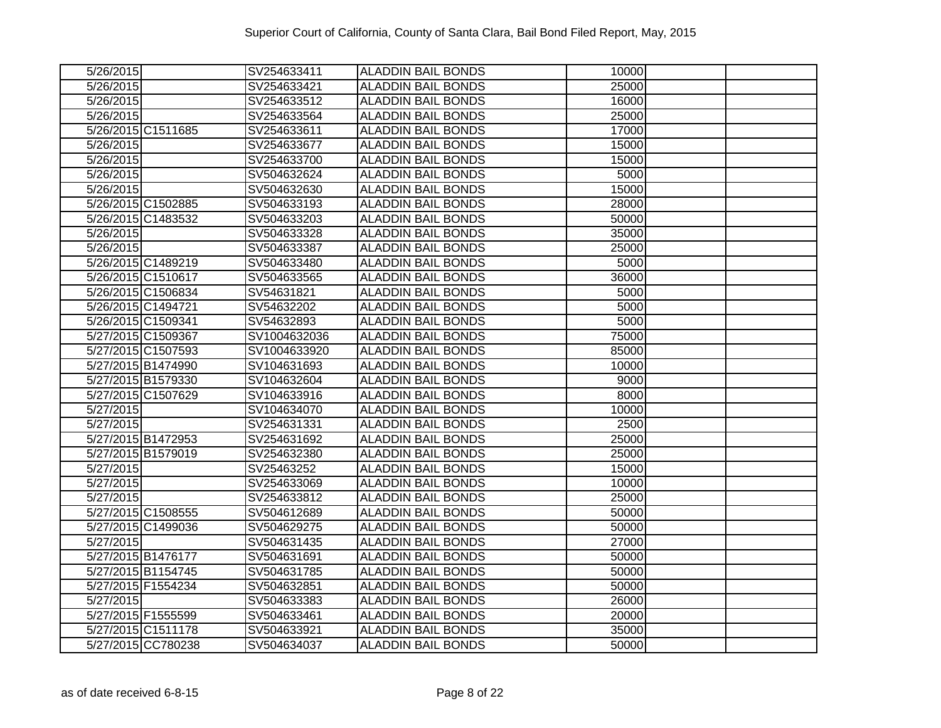| 5/26/2015              | SV254633411  | <b>ALADDIN BAIL BONDS</b> | $\overline{1}0000$ |  |
|------------------------|--------------|---------------------------|--------------------|--|
| 5/26/2015              | SV254633421  | <b>ALADDIN BAIL BONDS</b> | 25000              |  |
| 5/26/2015              | SV254633512  | <b>ALADDIN BAIL BONDS</b> | 16000              |  |
| 5/26/2015              | SV254633564  | <b>ALADDIN BAIL BONDS</b> | 25000              |  |
| 5/26/2015 C1511685     | SV254633611  | <b>ALADDIN BAIL BONDS</b> | 17000              |  |
| 5/26/2015              | SV254633677  | <b>ALADDIN BAIL BONDS</b> | 15000              |  |
| 5/26/2015              | SV254633700  | <b>ALADDIN BAIL BONDS</b> | 15000              |  |
| 5/26/2015              | SV504632624  | <b>ALADDIN BAIL BONDS</b> | 5000               |  |
| 5/26/2015              | SV504632630  | <b>ALADDIN BAIL BONDS</b> | 15000              |  |
| 5/26/2015 C1502885     | SV504633193  | <b>ALADDIN BAIL BONDS</b> | 28000              |  |
| 5/26/2015 C1483532     | SV504633203  | <b>ALADDIN BAIL BONDS</b> | 50000              |  |
| 5/26/2015              | SV504633328  | <b>ALADDIN BAIL BONDS</b> | 35000              |  |
| 5/26/2015              | SV504633387  | <b>ALADDIN BAIL BONDS</b> | 25000              |  |
| 5/26/2015 C1489219     | SV504633480  | <b>ALADDIN BAIL BONDS</b> | 5000               |  |
| 5/26/2015 C1510617     | SV504633565  | <b>ALADDIN BAIL BONDS</b> | 36000              |  |
| 5/26/2015 C1506834     | SV54631821   | ALADDIN BAIL BONDS        | 5000               |  |
| 5/26/2015 C1494721     | SV54632202   | <b>ALADDIN BAIL BONDS</b> | 5000               |  |
| 5/26/2015 C1509341     | SV54632893   | <b>ALADDIN BAIL BONDS</b> | 5000               |  |
| 5/27/2015 C1509367     | SV1004632036 | <b>ALADDIN BAIL BONDS</b> | 75000              |  |
| 5/27/2015 C1507593     | SV1004633920 | <b>ALADDIN BAIL BONDS</b> | 85000              |  |
| 5/27/2015 B1474990     | SV104631693  | <b>ALADDIN BAIL BONDS</b> | 10000              |  |
| 5/27/2015 B1579330     | SV104632604  | <b>ALADDIN BAIL BONDS</b> | 9000               |  |
| 5/27/2015 C1507629     | SV104633916  | <b>ALADDIN BAIL BONDS</b> | 8000               |  |
| 5/27/2015              | SV104634070  | <b>ALADDIN BAIL BONDS</b> | 10000              |  |
| 5/27/2015              | SV254631331  | <b>ALADDIN BAIL BONDS</b> | 2500               |  |
| 5/27/2015 B1472953     | SV254631692  | <b>ALADDIN BAIL BONDS</b> | 25000              |  |
| 5/27/2015 B1579019     | SV254632380  | <b>ALADDIN BAIL BONDS</b> | 25000              |  |
| 5/27/2015              | SV25463252   | <b>ALADDIN BAIL BONDS</b> | 15000              |  |
| 5/27/2015              | SV254633069  | <b>ALADDIN BAIL BONDS</b> | 10000              |  |
| 5/27/2015              | SV254633812  | <b>ALADDIN BAIL BONDS</b> | 25000              |  |
| 5/27/2015 C1508555     | SV504612689  | <b>ALADDIN BAIL BONDS</b> | 50000              |  |
| 5/27/2015 C1499036     | SV504629275  | <b>ALADDIN BAIL BONDS</b> | 50000              |  |
| 5/27/2015              | SV504631435  | <b>ALADDIN BAIL BONDS</b> | 27000              |  |
| 5/27/2015 B1476177     | SV504631691  | <b>ALADDIN BAIL BONDS</b> | 50000              |  |
| 5/27/2015 B1154745     | SV504631785  | <b>ALADDIN BAIL BONDS</b> | 50000              |  |
| 5/27/2015 F1554234     | SV504632851  | <b>ALADDIN BAIL BONDS</b> | 50000              |  |
| $\overline{5/27/2015}$ | SV504633383  | <b>ALADDIN BAIL BONDS</b> | 26000              |  |
| 5/27/2015 F1555599     | SV504633461  | <b>ALADDIN BAIL BONDS</b> | 20000              |  |
| 5/27/2015 C1511178     | SV504633921  | <b>ALADDIN BAIL BONDS</b> | 35000              |  |
| 5/27/2015 CC780238     | SV504634037  | <b>ALADDIN BAIL BONDS</b> | 50000              |  |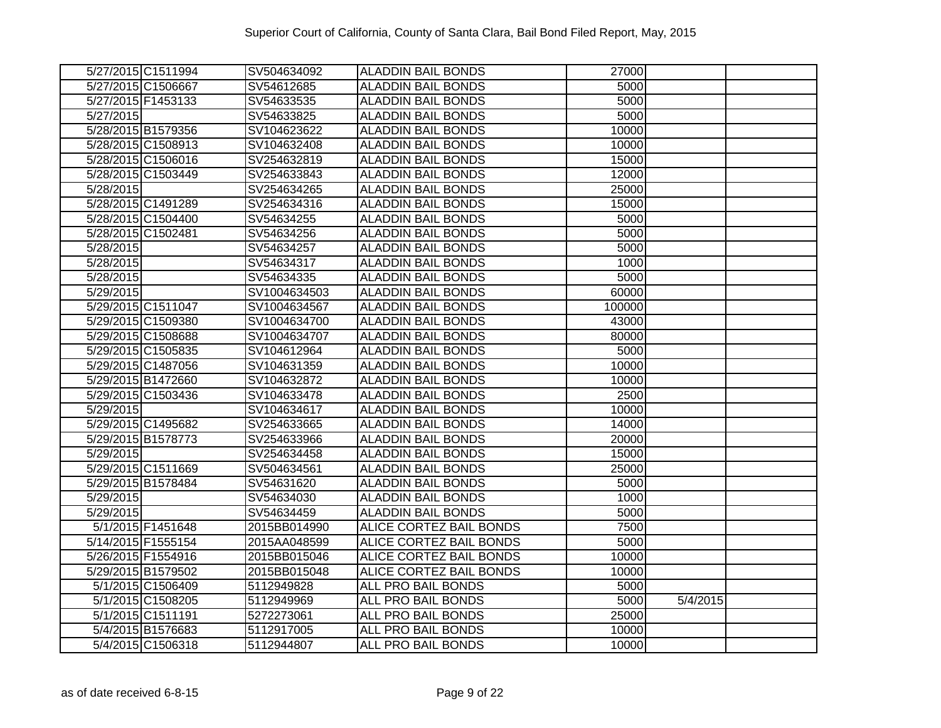|                        | 5/27/2015 C1511994 | SV504634092  | <b>ALADDIN BAIL BONDS</b>      | 27000  |          |  |
|------------------------|--------------------|--------------|--------------------------------|--------|----------|--|
|                        | 5/27/2015 C1506667 | SV54612685   | <b>ALADDIN BAIL BONDS</b>      | 5000   |          |  |
| 5/27/2015 F1453133     |                    | SV54633535   | <b>ALADDIN BAIL BONDS</b>      | 5000   |          |  |
| 5/27/2015              |                    | SV54633825   | <b>ALADDIN BAIL BONDS</b>      | 5000   |          |  |
| 5/28/2015 B1579356     |                    | SV104623622  | <b>ALADDIN BAIL BONDS</b>      | 10000  |          |  |
|                        | 5/28/2015 C1508913 | SV104632408  | <b>ALADDIN BAIL BONDS</b>      | 10000  |          |  |
|                        | 5/28/2015 C1506016 | SV254632819  | <b>ALADDIN BAIL BONDS</b>      | 15000  |          |  |
|                        | 5/28/2015 C1503449 | SV254633843  | <b>ALADDIN BAIL BONDS</b>      | 12000  |          |  |
| 5/28/2015              |                    | SV254634265  | <b>ALADDIN BAIL BONDS</b>      | 25000  |          |  |
|                        | 5/28/2015 C1491289 | SV254634316  | <b>ALADDIN BAIL BONDS</b>      | 15000  |          |  |
|                        | 5/28/2015 C1504400 | SV54634255   | <b>ALADDIN BAIL BONDS</b>      | 5000   |          |  |
| 5/28/2015 C1502481     |                    | SV54634256   | <b>ALADDIN BAIL BONDS</b>      | 5000   |          |  |
| 5/28/2015              |                    | SV54634257   | <b>ALADDIN BAIL BONDS</b>      | 5000   |          |  |
| 5/28/2015              |                    | SV54634317   | <b>ALADDIN BAIL BONDS</b>      | 1000   |          |  |
| 5/28/2015              |                    | SV54634335   | <b>ALADDIN BAIL BONDS</b>      | 5000   |          |  |
| $\overline{5/29/2015}$ |                    | SV1004634503 | <b>ALADDIN BAIL BONDS</b>      | 60000  |          |  |
|                        | 5/29/2015 C1511047 | SV1004634567 | <b>ALADDIN BAIL BONDS</b>      | 100000 |          |  |
|                        | 5/29/2015 C1509380 | SV1004634700 | <b>ALADDIN BAIL BONDS</b>      | 43000  |          |  |
|                        | 5/29/2015 C1508688 | SV1004634707 | <b>ALADDIN BAIL BONDS</b>      | 80000  |          |  |
|                        | 5/29/2015 C1505835 | SV104612964  | <b>ALADDIN BAIL BONDS</b>      | 5000   |          |  |
|                        | 5/29/2015 C1487056 | SV104631359  | <b>ALADDIN BAIL BONDS</b>      | 10000  |          |  |
|                        | 5/29/2015 B1472660 | SV104632872  | <b>ALADDIN BAIL BONDS</b>      | 10000  |          |  |
|                        | 5/29/2015 C1503436 | SV104633478  | <b>ALADDIN BAIL BONDS</b>      | 2500   |          |  |
| 5/29/2015              |                    | SV104634617  | <b>ALADDIN BAIL BONDS</b>      | 10000  |          |  |
|                        | 5/29/2015 C1495682 | SV254633665  | <b>ALADDIN BAIL BONDS</b>      | 14000  |          |  |
|                        | 5/29/2015 B1578773 | SV254633966  | <b>ALADDIN BAIL BONDS</b>      | 20000  |          |  |
| 5/29/2015              |                    | SV254634458  | <b>ALADDIN BAIL BONDS</b>      | 15000  |          |  |
|                        | 5/29/2015 C1511669 | SV504634561  | <b>ALADDIN BAIL BONDS</b>      | 25000  |          |  |
| 5/29/2015 B1578484     |                    | SV54631620   | <b>ALADDIN BAIL BONDS</b>      | 5000   |          |  |
| 5/29/2015              |                    | SV54634030   | <b>ALADDIN BAIL BONDS</b>      | 1000   |          |  |
| 5/29/2015              |                    | SV54634459   | <b>ALADDIN BAIL BONDS</b>      | 5000   |          |  |
|                        | 5/1/2015 F1451648  | 2015BB014990 | <b>ALICE CORTEZ BAIL BONDS</b> | 7500   |          |  |
| 5/14/2015 F1555154     |                    | 2015AA048599 | <b>ALICE CORTEZ BAIL BONDS</b> | 5000   |          |  |
|                        | 5/26/2015 F1554916 | 2015BB015046 | <b>ALICE CORTEZ BAIL BONDS</b> | 10000  |          |  |
|                        | 5/29/2015 B1579502 | 2015BB015048 | ALICE CORTEZ BAIL BONDS        | 10000  |          |  |
|                        | 5/1/2015 C1506409  | 5112949828   | ALL PRO BAIL BONDS             | 5000   |          |  |
|                        | 5/1/2015 C1508205  | 5112949969   | ALL PRO BAIL BONDS             | 5000   | 5/4/2015 |  |
|                        | 5/1/2015 C1511191  | 5272273061   | ALL PRO BAIL BONDS             | 25000  |          |  |
|                        | 5/4/2015 B1576683  | 5112917005   | ALL PRO BAIL BONDS             | 10000  |          |  |
|                        | 5/4/2015 C1506318  | 5112944807   | ALL PRO BAIL BONDS             | 10000  |          |  |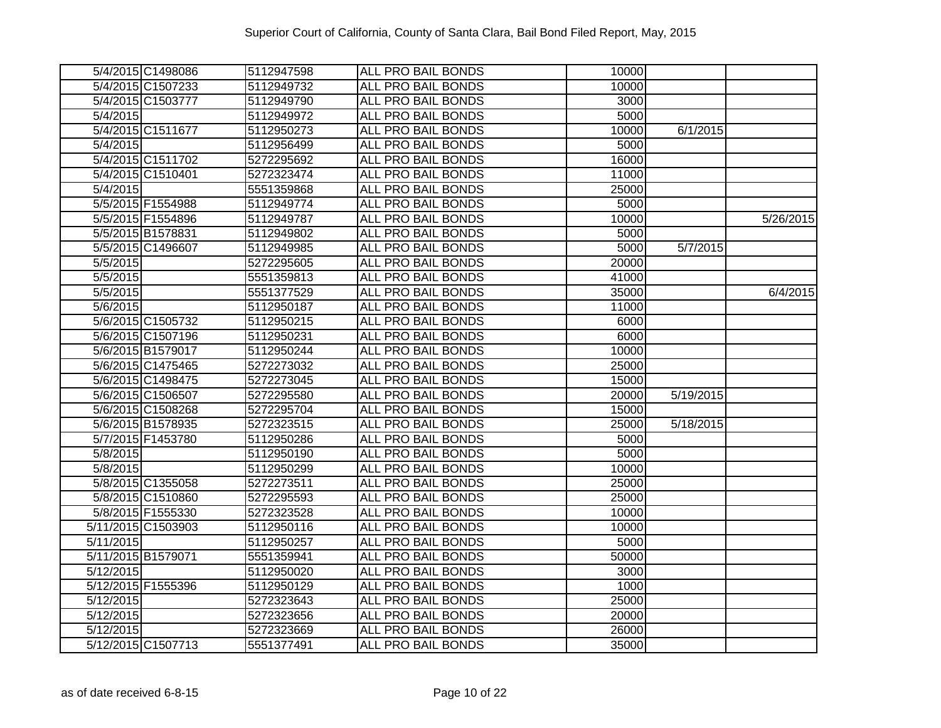| 5/4/2015 C1498086  | 5112947598 | <b>ALL PRO BAIL BONDS</b> | 10000 |           |           |
|--------------------|------------|---------------------------|-------|-----------|-----------|
| 5/4/2015 C1507233  | 5112949732 | <b>ALL PRO BAIL BONDS</b> | 10000 |           |           |
| 5/4/2015 C1503777  | 5112949790 | <b>ALL PRO BAIL BONDS</b> | 3000  |           |           |
| 5/4/2015           | 5112949972 | ALL PRO BAIL BONDS        | 5000  |           |           |
| 5/4/2015 C1511677  | 5112950273 | ALL PRO BAIL BONDS        | 10000 | 6/1/2015  |           |
| 5/4/2015           | 5112956499 | <b>ALL PRO BAIL BONDS</b> | 5000  |           |           |
| 5/4/2015 C1511702  | 5272295692 | <b>ALL PRO BAIL BONDS</b> | 16000 |           |           |
| 5/4/2015 C1510401  | 5272323474 | ALL PRO BAIL BONDS        | 11000 |           |           |
| 5/4/2015           | 5551359868 | <b>ALL PRO BAIL BONDS</b> | 25000 |           |           |
| 5/5/2015 F1554988  | 5112949774 | ALL PRO BAIL BONDS        | 5000  |           |           |
| 5/5/2015 F1554896  | 5112949787 | ALL PRO BAIL BONDS        | 10000 |           | 5/26/2015 |
| 5/5/2015 B1578831  | 5112949802 | ALL PRO BAIL BONDS        | 5000  |           |           |
| 5/5/2015 C1496607  | 5112949985 | ALL PRO BAIL BONDS        | 5000  | 5/7/2015  |           |
| 5/5/2015           | 5272295605 | ALL PRO BAIL BONDS        | 20000 |           |           |
| 5/5/2015           | 5551359813 | ALL PRO BAIL BONDS        | 41000 |           |           |
| 5/5/2015           | 5551377529 | ALL PRO BAIL BONDS        | 35000 |           | 6/4/2015  |
| 5/6/2015           | 5112950187 | ALL PRO BAIL BONDS        | 11000 |           |           |
| 5/6/2015 C1505732  | 5112950215 | <b>ALL PRO BAIL BONDS</b> | 6000  |           |           |
| 5/6/2015 C1507196  | 5112950231 | ALL PRO BAIL BONDS        | 6000  |           |           |
| 5/6/2015 B1579017  | 5112950244 | ALL PRO BAIL BONDS        | 10000 |           |           |
| 5/6/2015 C1475465  | 5272273032 | ALL PRO BAIL BONDS        | 25000 |           |           |
| 5/6/2015 C1498475  | 5272273045 | ALL PRO BAIL BONDS        | 15000 |           |           |
| 5/6/2015 C1506507  | 5272295580 | ALL PRO BAIL BONDS        | 20000 | 5/19/2015 |           |
| 5/6/2015 C1508268  | 5272295704 | ALL PRO BAIL BONDS        | 15000 |           |           |
| 5/6/2015 B1578935  | 5272323515 | <b>ALL PRO BAIL BONDS</b> | 25000 | 5/18/2015 |           |
| 5/7/2015 F1453780  | 5112950286 | <b>ALL PRO BAIL BONDS</b> | 5000  |           |           |
| 5/8/2015           | 5112950190 | ALL PRO BAIL BONDS        | 5000  |           |           |
| 5/8/2015           | 5112950299 | ALL PRO BAIL BONDS        | 10000 |           |           |
| 5/8/2015 C1355058  | 5272273511 | <b>ALL PRO BAIL BONDS</b> | 25000 |           |           |
| 5/8/2015 C1510860  | 5272295593 | ALL PRO BAIL BONDS        | 25000 |           |           |
| 5/8/2015 F1555330  | 5272323528 | <b>ALL PRO BAIL BONDS</b> | 10000 |           |           |
| 5/11/2015 C1503903 | 5112950116 | <b>ALL PRO BAIL BONDS</b> | 10000 |           |           |
| 5/11/2015          | 5112950257 | <b>ALL PRO BAIL BONDS</b> | 5000  |           |           |
| 5/11/2015 B1579071 | 5551359941 | ALL PRO BAIL BONDS        | 50000 |           |           |
| 5/12/2015          | 5112950020 | ALL PRO BAIL BONDS        | 3000  |           |           |
| 5/12/2015 F1555396 | 5112950129 | ALL PRO BAIL BONDS        | 1000  |           |           |
| 5/12/2015          | 5272323643 | ALL PRO BAIL BONDS        | 25000 |           |           |
| 5/12/2015          | 5272323656 | <b>ALL PRO BAIL BONDS</b> | 20000 |           |           |
| 5/12/2015          | 5272323669 | <b>ALL PRO BAIL BONDS</b> | 26000 |           |           |
| 5/12/2015 C1507713 | 5551377491 | ALL PRO BAIL BONDS        | 35000 |           |           |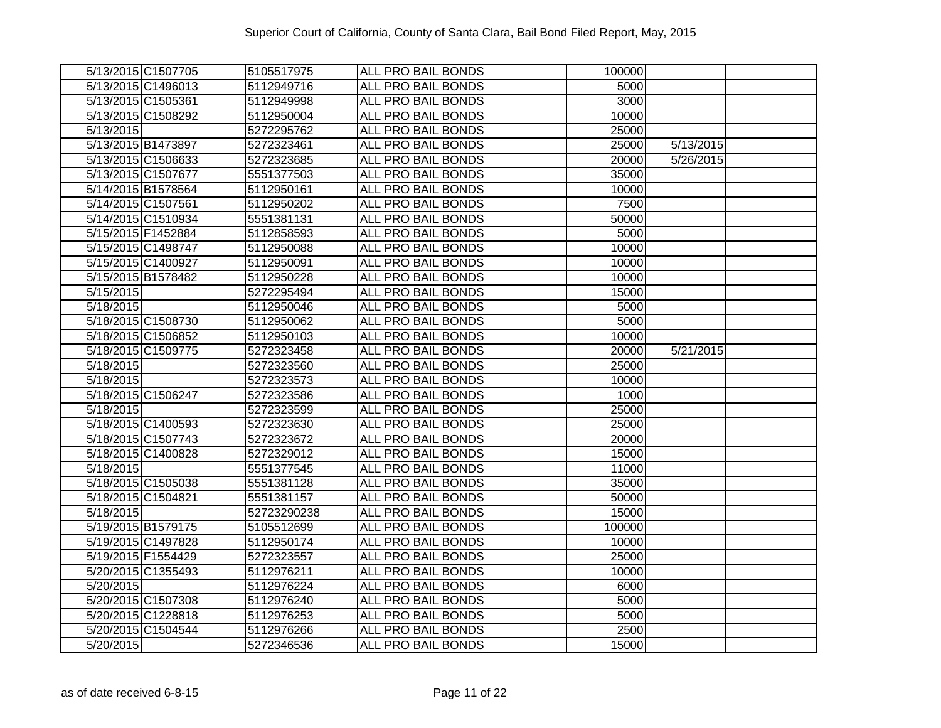| 5/13/2015 C1507705 | 5105517975  | <b>ALL PRO BAIL BONDS</b> | 100000 |           |  |
|--------------------|-------------|---------------------------|--------|-----------|--|
| 5/13/2015 C1496013 | 5112949716  | <b>ALL PRO BAIL BONDS</b> | 5000   |           |  |
| 5/13/2015 C1505361 | 5112949998  | <b>ALL PRO BAIL BONDS</b> | 3000   |           |  |
| 5/13/2015 C1508292 | 5112950004  | <b>ALL PRO BAIL BONDS</b> | 10000  |           |  |
| 5/13/2015          | 5272295762  | ALL PRO BAIL BONDS        | 25000  |           |  |
| 5/13/2015 B1473897 | 5272323461  | ALL PRO BAIL BONDS        | 25000  | 5/13/2015 |  |
| 5/13/2015 C1506633 | 5272323685  | ALL PRO BAIL BONDS        | 20000  | 5/26/2015 |  |
| 5/13/2015 C1507677 | 5551377503  | ALL PRO BAIL BONDS        | 35000  |           |  |
| 5/14/2015 B1578564 | 5112950161  | <b>ALL PRO BAIL BONDS</b> | 10000  |           |  |
| 5/14/2015 C1507561 | 5112950202  | ALL PRO BAIL BONDS        | 7500   |           |  |
| 5/14/2015 C1510934 | 5551381131  | ALL PRO BAIL BONDS        | 50000  |           |  |
| 5/15/2015 F1452884 | 5112858593  | ALL PRO BAIL BONDS        | 5000   |           |  |
| 5/15/2015 C1498747 | 5112950088  | ALL PRO BAIL BONDS        | 10000  |           |  |
| 5/15/2015 C1400927 | 5112950091  | ALL PRO BAIL BONDS        | 10000  |           |  |
| 5/15/2015 B1578482 | 5112950228  | ALL PRO BAIL BONDS        | 10000  |           |  |
| 5/15/2015          | 5272295494  | ALL PRO BAIL BONDS        | 15000  |           |  |
| 5/18/2015          | 5112950046  | ALL PRO BAIL BONDS        | 5000   |           |  |
| 5/18/2015 C1508730 | 5112950062  | ALL PRO BAIL BONDS        | 5000   |           |  |
| 5/18/2015 C1506852 | 5112950103  | ALL PRO BAIL BONDS        | 10000  |           |  |
| 5/18/2015 C1509775 | 5272323458  | ALL PRO BAIL BONDS        | 20000  | 5/21/2015 |  |
| 5/18/2015          | 5272323560  | ALL PRO BAIL BONDS        | 25000  |           |  |
| 5/18/2015          | 5272323573  | ALL PRO BAIL BONDS        | 10000  |           |  |
| 5/18/2015 C1506247 | 5272323586  | ALL PRO BAIL BONDS        | 1000   |           |  |
| 5/18/2015          | 5272323599  | ALL PRO BAIL BONDS        | 25000  |           |  |
| 5/18/2015 C1400593 | 5272323630  | ALL PRO BAIL BONDS        | 25000  |           |  |
| 5/18/2015 C1507743 | 5272323672  | ALL PRO BAIL BONDS        | 20000  |           |  |
| 5/18/2015 C1400828 | 5272329012  | ALL PRO BAIL BONDS        | 15000  |           |  |
| 5/18/2015          | 5551377545  | <b>ALL PRO BAIL BONDS</b> | 11000  |           |  |
| 5/18/2015 C1505038 | 5551381128  | ALL PRO BAIL BONDS        | 35000  |           |  |
| 5/18/2015 C1504821 | 5551381157  | ALL PRO BAIL BONDS        | 50000  |           |  |
| 5/18/2015          | 52723290238 | <b>ALL PRO BAIL BONDS</b> | 15000  |           |  |
| 5/19/2015 B1579175 | 5105512699  | ALL PRO BAIL BONDS        | 100000 |           |  |
| 5/19/2015 C1497828 | 5112950174  | <b>ALL PRO BAIL BONDS</b> | 10000  |           |  |
| 5/19/2015 F1554429 | 5272323557  | ALL PRO BAIL BONDS        | 25000  |           |  |
| 5/20/2015 C1355493 | 5112976211  | ALL PRO BAIL BONDS        | 10000  |           |  |
| 5/20/2015          | 5112976224  | ALL PRO BAIL BONDS        | 6000   |           |  |
| 5/20/2015 C1507308 | 5112976240  | <b>ALL PRO BAIL BONDS</b> | 5000   |           |  |
| 5/20/2015 C1228818 | 5112976253  | ALL PRO BAIL BONDS        | 5000   |           |  |
| 5/20/2015 C1504544 | 5112976266  | <b>ALL PRO BAIL BONDS</b> | 2500   |           |  |
| 5/20/2015          | 5272346536  | ALL PRO BAIL BONDS        | 15000  |           |  |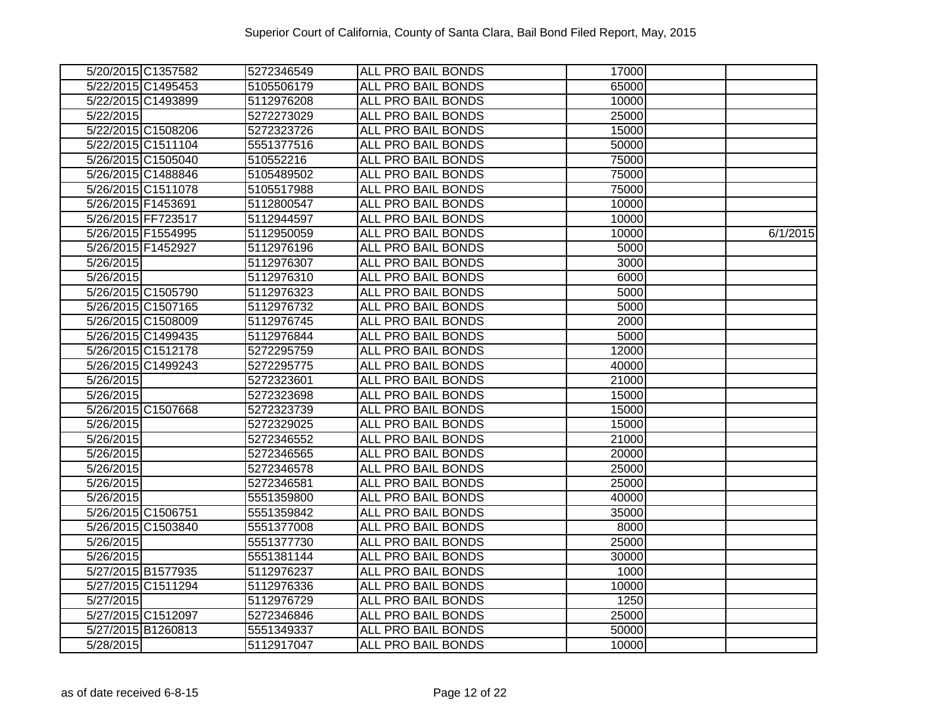| 5/20/2015 C1357582 | 5272346549 | <b>ALL PRO BAIL BONDS</b> | 17000 |          |
|--------------------|------------|---------------------------|-------|----------|
| 5/22/2015 C1495453 | 5105506179 | ALL PRO BAIL BONDS        | 65000 |          |
| 5/22/2015 C1493899 | 5112976208 | <b>ALL PRO BAIL BONDS</b> | 10000 |          |
| 5/22/2015          | 5272273029 | <b>ALL PRO BAIL BONDS</b> | 25000 |          |
| 5/22/2015 C1508206 | 5272323726 | <b>ALL PRO BAIL BONDS</b> | 15000 |          |
| 5/22/2015 C1511104 | 5551377516 | ALL PRO BAIL BONDS        | 50000 |          |
| 5/26/2015 C1505040 | 510552216  | ALL PRO BAIL BONDS        | 75000 |          |
| 5/26/2015 C1488846 | 5105489502 | ALL PRO BAIL BONDS        | 75000 |          |
| 5/26/2015 C1511078 | 5105517988 | <b>ALL PRO BAIL BONDS</b> | 75000 |          |
| 5/26/2015 F1453691 | 5112800547 | ALL PRO BAIL BONDS        | 10000 |          |
| 5/26/2015 FF723517 | 5112944597 | ALL PRO BAIL BONDS        | 10000 |          |
| 5/26/2015 F1554995 | 5112950059 | ALL PRO BAIL BONDS        | 10000 | 6/1/2015 |
| 5/26/2015 F1452927 | 5112976196 | ALL PRO BAIL BONDS        | 5000  |          |
| 5/26/2015          | 5112976307 | ALL PRO BAIL BONDS        | 3000  |          |
| 5/26/2015          | 5112976310 | ALL PRO BAIL BONDS        | 6000  |          |
| 5/26/2015 C1505790 | 5112976323 | ALL PRO BAIL BONDS        | 5000  |          |
| 5/26/2015 C1507165 | 5112976732 | ALL PRO BAIL BONDS        | 5000  |          |
| 5/26/2015 C1508009 | 5112976745 | ALL PRO BAIL BONDS        | 2000  |          |
| 5/26/2015 C1499435 | 5112976844 | <b>ALL PRO BAIL BONDS</b> | 5000  |          |
| 5/26/2015 C1512178 | 5272295759 | <b>ALL PRO BAIL BONDS</b> | 12000 |          |
| 5/26/2015 C1499243 | 5272295775 | ALL PRO BAIL BONDS        | 40000 |          |
| 5/26/2015          | 5272323601 | ALL PRO BAIL BONDS        | 21000 |          |
| 5/26/2015          | 5272323698 | ALL PRO BAIL BONDS        | 15000 |          |
| 5/26/2015 C1507668 | 5272323739 | ALL PRO BAIL BONDS        | 15000 |          |
| 5/26/2015          | 5272329025 | <b>ALL PRO BAIL BONDS</b> | 15000 |          |
| 5/26/2015          | 5272346552 | <b>ALL PRO BAIL BONDS</b> | 21000 |          |
| 5/26/2015          | 5272346565 | ALL PRO BAIL BONDS        | 20000 |          |
| 5/26/2015          | 5272346578 | ALL PRO BAIL BONDS        | 25000 |          |
| 5/26/2015          | 5272346581 | ALL PRO BAIL BONDS        | 25000 |          |
| 5/26/2015          | 5551359800 | ALL PRO BAIL BONDS        | 40000 |          |
| 5/26/2015 C1506751 | 5551359842 | <b>ALL PRO BAIL BONDS</b> | 35000 |          |
| 5/26/2015 C1503840 | 5551377008 | <b>ALL PRO BAIL BONDS</b> | 8000  |          |
| 5/26/2015          | 5551377730 | <b>ALL PRO BAIL BONDS</b> | 25000 |          |
| 5/26/2015          | 5551381144 | <b>ALL PRO BAIL BONDS</b> | 30000 |          |
| 5/27/2015 B1577935 | 5112976237 | ALL PRO BAIL BONDS        | 1000  |          |
| 5/27/2015 C1511294 | 5112976336 | ALL PRO BAIL BONDS        | 10000 |          |
| 5/27/2015          | 5112976729 | ALL PRO BAIL BONDS        | 1250  |          |
| 5/27/2015 C1512097 | 5272346846 | ALL PRO BAIL BONDS        | 25000 |          |
| 5/27/2015 B1260813 | 5551349337 | ALL PRO BAIL BONDS        | 50000 |          |
| 5/28/2015          | 5112917047 | ALL PRO BAIL BONDS        | 10000 |          |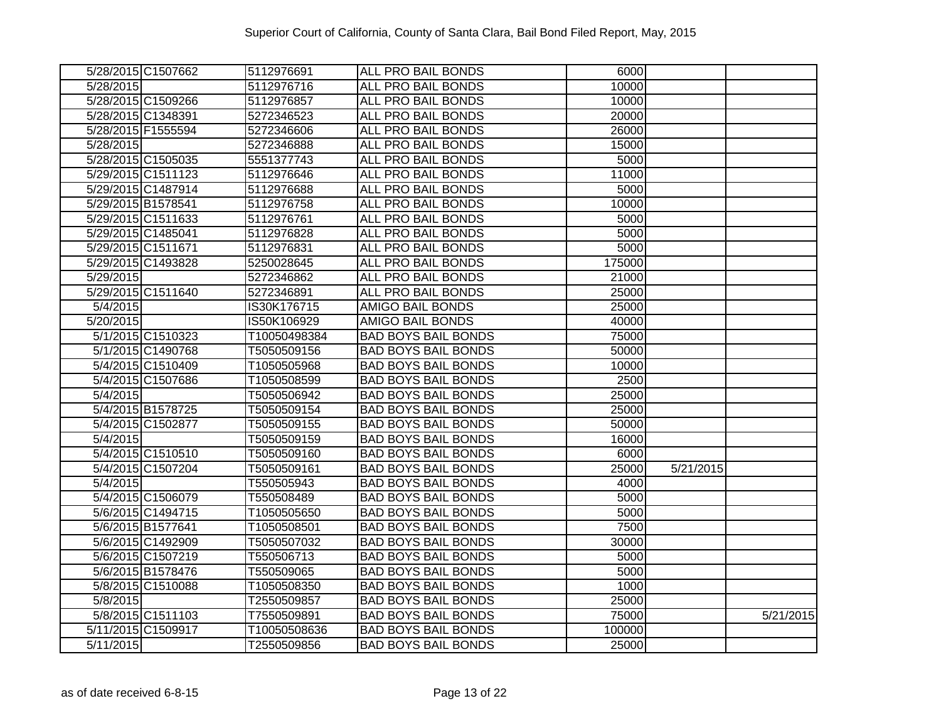| 5/28/2015 C1507662 | 5112976691   | <b>ALL PRO BAIL BONDS</b>  | 6000   |                        |           |
|--------------------|--------------|----------------------------|--------|------------------------|-----------|
| 5/28/2015          | 5112976716   | ALL PRO BAIL BONDS         | 10000  |                        |           |
| 5/28/2015 C1509266 | 5112976857   | <b>ALL PRO BAIL BONDS</b>  | 10000  |                        |           |
| 5/28/2015 C1348391 | 5272346523   | <b>ALL PRO BAIL BONDS</b>  | 20000  |                        |           |
| 5/28/2015 F1555594 | 5272346606   | <b>ALL PRO BAIL BONDS</b>  | 26000  |                        |           |
| 5/28/2015          | 5272346888   | ALL PRO BAIL BONDS         | 15000  |                        |           |
| 5/28/2015 C1505035 | 5551377743   | ALL PRO BAIL BONDS         | 5000   |                        |           |
| 5/29/2015 C1511123 | 5112976646   | ALL PRO BAIL BONDS         | 11000  |                        |           |
| 5/29/2015 C1487914 | 5112976688   | <b>ALL PRO BAIL BONDS</b>  | 5000   |                        |           |
| 5/29/2015 B1578541 | 5112976758   | ALL PRO BAIL BONDS         | 10000  |                        |           |
| 5/29/2015 C1511633 | 5112976761   | ALL PRO BAIL BONDS         | 5000   |                        |           |
| 5/29/2015 C1485041 | 5112976828   | ALL PRO BAIL BONDS         | 5000   |                        |           |
| 5/29/2015 C1511671 | 5112976831   | ALL PRO BAIL BONDS         | 5000   |                        |           |
| 5/29/2015 C1493828 | 5250028645   | ALL PRO BAIL BONDS         | 175000 |                        |           |
| 5/29/2015          | 5272346862   | ALL PRO BAIL BONDS         | 21000  |                        |           |
| 5/29/2015 C1511640 | 5272346891   | ALL PRO BAIL BONDS         | 25000  |                        |           |
| 5/4/2015           | IS30K176715  | <b>AMIGO BAIL BONDS</b>    | 25000  |                        |           |
| 5/20/2015          | IS50K106929  | AMIGO BAIL BONDS           | 40000  |                        |           |
| 5/1/2015 C1510323  | T10050498384 | <b>BAD BOYS BAIL BONDS</b> | 75000  |                        |           |
| 5/1/2015 C1490768  | T5050509156  | <b>BAD BOYS BAIL BONDS</b> | 50000  |                        |           |
| 5/4/2015 C1510409  | T1050505968  | <b>BAD BOYS BAIL BONDS</b> | 10000  |                        |           |
| 5/4/2015 C1507686  | T1050508599  | <b>BAD BOYS BAIL BONDS</b> | 2500   |                        |           |
| 5/4/2015           | T5050506942  | <b>BAD BOYS BAIL BONDS</b> | 25000  |                        |           |
| 5/4/2015 B1578725  | T5050509154  | <b>BAD BOYS BAIL BONDS</b> | 25000  |                        |           |
| 5/4/2015 C1502877  | T5050509155  | <b>BAD BOYS BAIL BONDS</b> | 50000  |                        |           |
| 5/4/2015           | T5050509159  | <b>BAD BOYS BAIL BONDS</b> | 16000  |                        |           |
| 5/4/2015 C1510510  | T5050509160  | <b>BAD BOYS BAIL BONDS</b> | 6000   |                        |           |
| 5/4/2015 C1507204  | T5050509161  | <b>BAD BOYS BAIL BONDS</b> | 25000  | $\overline{5/21/2015}$ |           |
| 5/4/2015           | T550505943   | <b>BAD BOYS BAIL BONDS</b> | 4000   |                        |           |
| 5/4/2015 C1506079  | T550508489   | <b>BAD BOYS BAIL BONDS</b> | 5000   |                        |           |
| 5/6/2015 C1494715  | T1050505650  | <b>BAD BOYS BAIL BONDS</b> | 5000   |                        |           |
| 5/6/2015 B1577641  | T1050508501  | <b>BAD BOYS BAIL BONDS</b> | 7500   |                        |           |
| 5/6/2015 C1492909  | T5050507032  | <b>BAD BOYS BAIL BONDS</b> | 30000  |                        |           |
| 5/6/2015 C1507219  | T550506713   | <b>BAD BOYS BAIL BONDS</b> | 5000   |                        |           |
| 5/6/2015 B1578476  | T550509065   | <b>BAD BOYS BAIL BONDS</b> | 5000   |                        |           |
| 5/8/2015 C1510088  | T1050508350  | <b>BAD BOYS BAIL BONDS</b> | 1000   |                        |           |
| 5/8/2015           | T2550509857  | <b>BAD BOYS BAIL BONDS</b> | 25000  |                        |           |
| 5/8/2015 C1511103  | T7550509891  | <b>BAD BOYS BAIL BONDS</b> | 75000  |                        | 5/21/2015 |
| 5/11/2015 C1509917 | T10050508636 | <b>BAD BOYS BAIL BONDS</b> | 100000 |                        |           |
| 5/11/2015          | T2550509856  | <b>BAD BOYS BAIL BONDS</b> | 25000  |                        |           |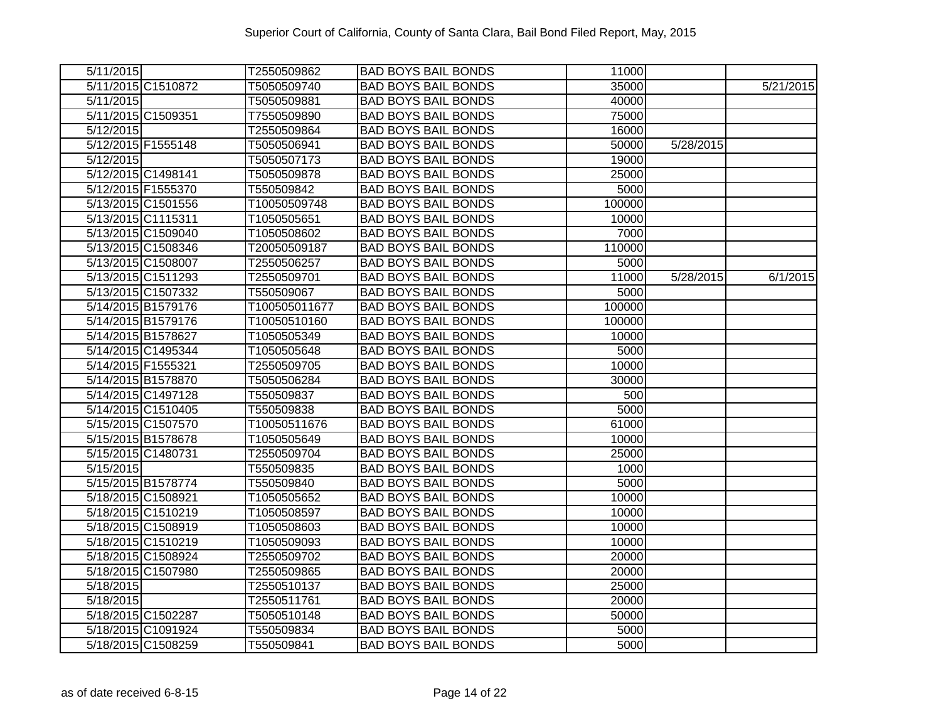| 5/11/2015          | T2550509862   | <b>BAD BOYS BAIL BONDS</b> | 11000  |                        |           |
|--------------------|---------------|----------------------------|--------|------------------------|-----------|
| 5/11/2015 C1510872 | T5050509740   | <b>BAD BOYS BAIL BONDS</b> | 35000  |                        | 5/21/2015 |
| 5/11/2015          | T5050509881   | <b>BAD BOYS BAIL BONDS</b> | 40000  |                        |           |
| 5/11/2015 C1509351 | T7550509890   | <b>BAD BOYS BAIL BONDS</b> | 75000  |                        |           |
| 5/12/2015          | T2550509864   | <b>BAD BOYS BAIL BONDS</b> | 16000  |                        |           |
| 5/12/2015 F1555148 | T5050506941   | <b>BAD BOYS BAIL BONDS</b> | 50000  | 5/28/2015              |           |
| 5/12/2015          | T5050507173   | <b>BAD BOYS BAIL BONDS</b> | 19000  |                        |           |
| 5/12/2015 C1498141 | T5050509878   | <b>BAD BOYS BAIL BONDS</b> | 25000  |                        |           |
| 5/12/2015 F1555370 | T550509842    | <b>BAD BOYS BAIL BONDS</b> | 5000   |                        |           |
| 5/13/2015 C1501556 | T10050509748  | <b>BAD BOYS BAIL BONDS</b> | 100000 |                        |           |
| 5/13/2015 C1115311 | T1050505651   | <b>BAD BOYS BAIL BONDS</b> | 10000  |                        |           |
| 5/13/2015 C1509040 | T1050508602   | <b>BAD BOYS BAIL BONDS</b> | 7000   |                        |           |
| 5/13/2015 C1508346 | T20050509187  | <b>BAD BOYS BAIL BONDS</b> | 110000 |                        |           |
| 5/13/2015 C1508007 | T2550506257   | <b>BAD BOYS BAIL BONDS</b> | 5000   |                        |           |
| 5/13/2015 C1511293 | T2550509701   | <b>BAD BOYS BAIL BONDS</b> | 11000  | $\overline{5/28/2015}$ | 6/1/2015  |
| 5/13/2015 C1507332 | T550509067    | <b>BAD BOYS BAIL BONDS</b> | 5000   |                        |           |
| 5/14/2015 B1579176 | T100505011677 | <b>BAD BOYS BAIL BONDS</b> | 100000 |                        |           |
| 5/14/2015 B1579176 | T10050510160  | <b>BAD BOYS BAIL BONDS</b> | 100000 |                        |           |
| 5/14/2015 B1578627 | T1050505349   | <b>BAD BOYS BAIL BONDS</b> | 10000  |                        |           |
| 5/14/2015 C1495344 | T1050505648   | <b>BAD BOYS BAIL BONDS</b> | 5000   |                        |           |
| 5/14/2015 F1555321 | T2550509705   | <b>BAD BOYS BAIL BONDS</b> | 10000  |                        |           |
| 5/14/2015 B1578870 | T5050506284   | <b>BAD BOYS BAIL BONDS</b> | 30000  |                        |           |
| 5/14/2015 C1497128 | T550509837    | <b>BAD BOYS BAIL BONDS</b> | 500    |                        |           |
| 5/14/2015 C1510405 | T550509838    | <b>BAD BOYS BAIL BONDS</b> | 5000   |                        |           |
| 5/15/2015 C1507570 | T10050511676  | <b>BAD BOYS BAIL BONDS</b> | 61000  |                        |           |
| 5/15/2015 B1578678 | T1050505649   | <b>BAD BOYS BAIL BONDS</b> | 10000  |                        |           |
| 5/15/2015 C1480731 | T2550509704   | <b>BAD BOYS BAIL BONDS</b> | 25000  |                        |           |
| 5/15/2015          | T550509835    | <b>BAD BOYS BAIL BONDS</b> | 1000   |                        |           |
| 5/15/2015 B1578774 | T550509840    | <b>BAD BOYS BAIL BONDS</b> | 5000   |                        |           |
| 5/18/2015 C1508921 | T1050505652   | <b>BAD BOYS BAIL BONDS</b> | 10000  |                        |           |
| 5/18/2015 C1510219 | T1050508597   | <b>BAD BOYS BAIL BONDS</b> | 10000  |                        |           |
| 5/18/2015 C1508919 | T1050508603   | <b>BAD BOYS BAIL BONDS</b> | 10000  |                        |           |
| 5/18/2015 C1510219 | T1050509093   | <b>BAD BOYS BAIL BONDS</b> | 10000  |                        |           |
| 5/18/2015 C1508924 | T2550509702   | <b>BAD BOYS BAIL BONDS</b> | 20000  |                        |           |
| 5/18/2015 C1507980 | T2550509865   | <b>BAD BOYS BAIL BONDS</b> | 20000  |                        |           |
| 5/18/2015          | T2550510137   | <b>BAD BOYS BAIL BONDS</b> | 25000  |                        |           |
| 5/18/2015          | T2550511761   | <b>BAD BOYS BAIL BONDS</b> | 20000  |                        |           |
| 5/18/2015 C1502287 | T5050510148   | <b>BAD BOYS BAIL BONDS</b> | 50000  |                        |           |
| 5/18/2015 C1091924 | T550509834    | <b>BAD BOYS BAIL BONDS</b> | 5000   |                        |           |
| 5/18/2015 C1508259 | T550509841    | <b>BAD BOYS BAIL BONDS</b> | 5000   |                        |           |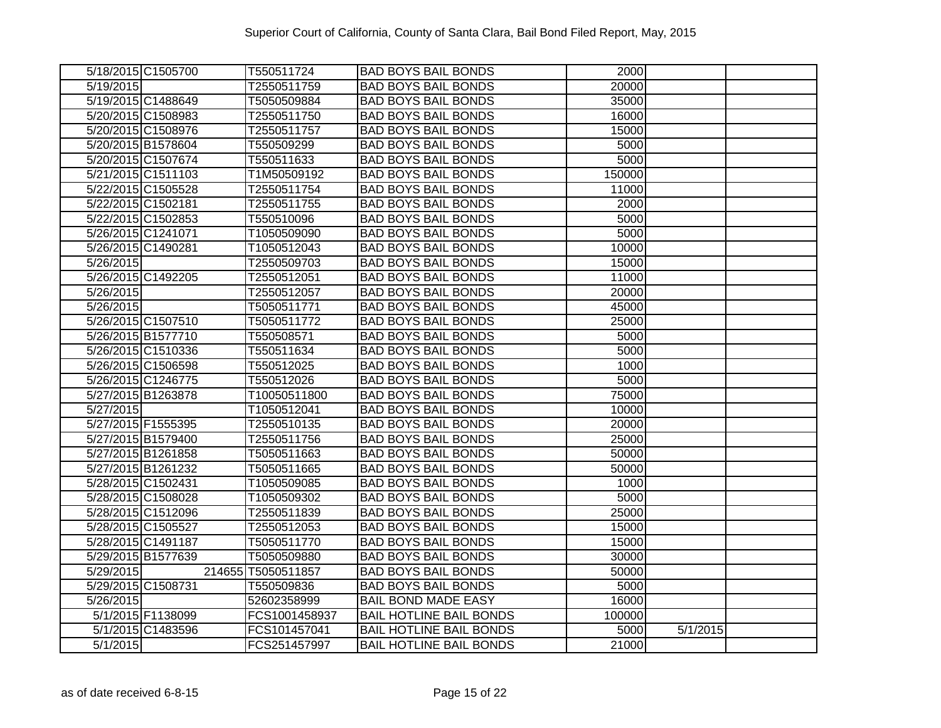| 5/18/2015 C1505700 |                   | T550511724         | <b>BAD BOYS BAIL BONDS</b>     | 2000   |          |  |
|--------------------|-------------------|--------------------|--------------------------------|--------|----------|--|
| 5/19/2015          |                   | T2550511759        | <b>BAD BOYS BAIL BONDS</b>     | 20000  |          |  |
| 5/19/2015 C1488649 |                   | T5050509884        | <b>BAD BOYS BAIL BONDS</b>     | 35000  |          |  |
| 5/20/2015 C1508983 |                   | T2550511750        | <b>BAD BOYS BAIL BONDS</b>     | 16000  |          |  |
| 5/20/2015 C1508976 |                   | T2550511757        | <b>BAD BOYS BAIL BONDS</b>     | 15000  |          |  |
| 5/20/2015 B1578604 |                   | T550509299         | <b>BAD BOYS BAIL BONDS</b>     | 5000   |          |  |
| 5/20/2015 C1507674 |                   | T550511633         | <b>BAD BOYS BAIL BONDS</b>     | 5000   |          |  |
| 5/21/2015 C1511103 |                   | T1M50509192        | <b>BAD BOYS BAIL BONDS</b>     | 150000 |          |  |
| 5/22/2015 C1505528 |                   | T2550511754        | <b>BAD BOYS BAIL BONDS</b>     | 11000  |          |  |
| 5/22/2015 C1502181 |                   | T2550511755        | <b>BAD BOYS BAIL BONDS</b>     | 2000   |          |  |
| 5/22/2015 C1502853 |                   | T550510096         | <b>BAD BOYS BAIL BONDS</b>     | 5000   |          |  |
| 5/26/2015 C1241071 |                   | T1050509090        | <b>BAD BOYS BAIL BONDS</b>     | 5000   |          |  |
| 5/26/2015 C1490281 |                   | T1050512043        | <b>BAD BOYS BAIL BONDS</b>     | 10000  |          |  |
| 5/26/2015          |                   | T2550509703        | <b>BAD BOYS BAIL BONDS</b>     | 15000  |          |  |
| 5/26/2015 C1492205 |                   | T2550512051        | <b>BAD BOYS BAIL BONDS</b>     | 11000  |          |  |
| 5/26/2015          |                   | T2550512057        | <b>BAD BOYS BAIL BONDS</b>     | 20000  |          |  |
| 5/26/2015          |                   | T5050511771        | <b>BAD BOYS BAIL BONDS</b>     | 45000  |          |  |
| 5/26/2015 C1507510 |                   | T5050511772        | <b>BAD BOYS BAIL BONDS</b>     | 25000  |          |  |
| 5/26/2015 B1577710 |                   | T550508571         | <b>BAD BOYS BAIL BONDS</b>     | 5000   |          |  |
| 5/26/2015 C1510336 |                   | T550511634         | <b>BAD BOYS BAIL BONDS</b>     | 5000   |          |  |
| 5/26/2015 C1506598 |                   | T550512025         | <b>BAD BOYS BAIL BONDS</b>     | 1000   |          |  |
| 5/26/2015 C1246775 |                   | T550512026         | <b>BAD BOYS BAIL BONDS</b>     | 5000   |          |  |
| 5/27/2015 B1263878 |                   | T10050511800       | <b>BAD BOYS BAIL BONDS</b>     | 75000  |          |  |
| 5/27/2015          |                   | T1050512041        | <b>BAD BOYS BAIL BONDS</b>     | 10000  |          |  |
| 5/27/2015 F1555395 |                   | T2550510135        | <b>BAD BOYS BAIL BONDS</b>     | 20000  |          |  |
| 5/27/2015 B1579400 |                   | T2550511756        | <b>BAD BOYS BAIL BONDS</b>     | 25000  |          |  |
| 5/27/2015 B1261858 |                   | T5050511663        | <b>BAD BOYS BAIL BONDS</b>     | 50000  |          |  |
| 5/27/2015 B1261232 |                   | T5050511665        | <b>BAD BOYS BAIL BONDS</b>     | 50000  |          |  |
| 5/28/2015 C1502431 |                   | T1050509085        | <b>BAD BOYS BAIL BONDS</b>     | 1000   |          |  |
| 5/28/2015 C1508028 |                   | T1050509302        | <b>BAD BOYS BAIL BONDS</b>     | 5000   |          |  |
| 5/28/2015 C1512096 |                   | T2550511839        | <b>BAD BOYS BAIL BONDS</b>     | 25000  |          |  |
| 5/28/2015 C1505527 |                   | T2550512053        | <b>BAD BOYS BAIL BONDS</b>     | 15000  |          |  |
| 5/28/2015 C1491187 |                   | T5050511770        | <b>BAD BOYS BAIL BONDS</b>     | 15000  |          |  |
| 5/29/2015 B1577639 |                   | T5050509880        | <b>BAD BOYS BAIL BONDS</b>     | 30000  |          |  |
| 5/29/2015          |                   | 214655 T5050511857 | <b>BAD BOYS BAIL BONDS</b>     | 50000  |          |  |
| 5/29/2015 C1508731 |                   | T550509836         | <b>BAD BOYS BAIL BONDS</b>     | 5000   |          |  |
| 5/26/2015          |                   | 52602358999        | <b>BAIL BOND MADE EASY</b>     | 16000  |          |  |
|                    | 5/1/2015 F1138099 | FCS1001458937      | <b>BAIL HOTLINE BAIL BONDS</b> | 100000 |          |  |
|                    | 5/1/2015 C1483596 | FCS101457041       | <b>BAIL HOTLINE BAIL BONDS</b> | 5000   | 5/1/2015 |  |
| 5/1/2015           |                   | FCS251457997       | <b>BAIL HOTLINE BAIL BONDS</b> | 21000  |          |  |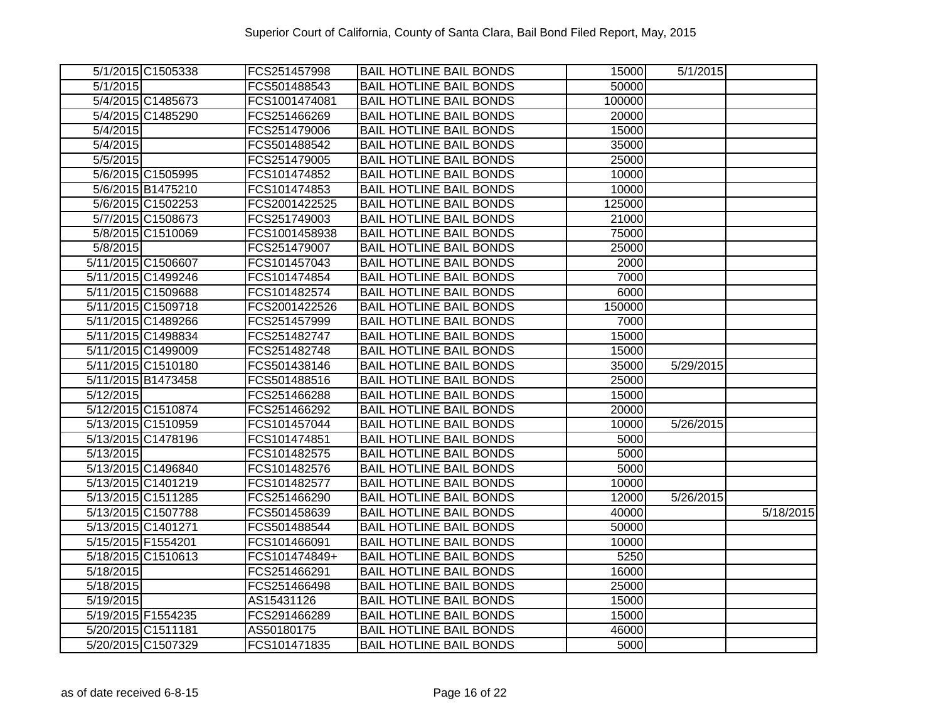|           | 5/1/2015 C1505338  | FCS251457998  | <b>BAIL HOTLINE BAIL BONDS</b> | 15000  | 5/1/2015  |           |
|-----------|--------------------|---------------|--------------------------------|--------|-----------|-----------|
| 5/1/2015  |                    | FCS501488543  | <b>BAIL HOTLINE BAIL BONDS</b> | 50000  |           |           |
|           | 5/4/2015 C1485673  | FCS1001474081 | <b>BAIL HOTLINE BAIL BONDS</b> | 100000 |           |           |
|           | 5/4/2015 C1485290  | FCS251466269  | <b>BAIL HOTLINE BAIL BONDS</b> | 20000  |           |           |
| 5/4/2015  |                    | FCS251479006  | <b>BAIL HOTLINE BAIL BONDS</b> | 15000  |           |           |
| 5/4/2015  |                    | FCS501488542  | <b>BAIL HOTLINE BAIL BONDS</b> | 35000  |           |           |
| 5/5/2015  |                    | FCS251479005  | <b>BAIL HOTLINE BAIL BONDS</b> | 25000  |           |           |
|           | 5/6/2015 C1505995  | FCS101474852  | <b>BAIL HOTLINE BAIL BONDS</b> | 10000  |           |           |
|           | 5/6/2015 B1475210  | FCS101474853  | <b>BAIL HOTLINE BAIL BONDS</b> | 10000  |           |           |
|           | 5/6/2015 C1502253  | FCS2001422525 | <b>BAIL HOTLINE BAIL BONDS</b> | 125000 |           |           |
|           | 5/7/2015 C1508673  | FCS251749003  | <b>BAIL HOTLINE BAIL BONDS</b> | 21000  |           |           |
|           | 5/8/2015 C1510069  | FCS1001458938 | <b>BAIL HOTLINE BAIL BONDS</b> | 75000  |           |           |
| 5/8/2015  |                    | FCS251479007  | <b>BAIL HOTLINE BAIL BONDS</b> | 25000  |           |           |
|           | 5/11/2015 C1506607 | FCS101457043  | <b>BAIL HOTLINE BAIL BONDS</b> | 2000   |           |           |
|           | 5/11/2015 C1499246 | FCS101474854  | <b>BAIL HOTLINE BAIL BONDS</b> | 7000   |           |           |
|           | 5/11/2015 C1509688 | FCS101482574  | <b>BAIL HOTLINE BAIL BONDS</b> | 6000   |           |           |
|           | 5/11/2015 C1509718 | FCS2001422526 | <b>BAIL HOTLINE BAIL BONDS</b> | 150000 |           |           |
|           | 5/11/2015 C1489266 | FCS251457999  | <b>BAIL HOTLINE BAIL BONDS</b> | 7000   |           |           |
|           | 5/11/2015 C1498834 | FCS251482747  | <b>BAIL HOTLINE BAIL BONDS</b> | 15000  |           |           |
|           | 5/11/2015 C1499009 | FCS251482748  | <b>BAIL HOTLINE BAIL BONDS</b> | 15000  |           |           |
|           | 5/11/2015 C1510180 | FCS501438146  | <b>BAIL HOTLINE BAIL BONDS</b> | 35000  | 5/29/2015 |           |
|           | 5/11/2015 B1473458 | FCS501488516  | <b>BAIL HOTLINE BAIL BONDS</b> | 25000  |           |           |
| 5/12/2015 |                    | FCS251466288  | <b>BAIL HOTLINE BAIL BONDS</b> | 15000  |           |           |
|           | 5/12/2015 C1510874 | FCS251466292  | <b>BAIL HOTLINE BAIL BONDS</b> | 20000  |           |           |
|           | 5/13/2015 C1510959 | FCS101457044  | <b>BAIL HOTLINE BAIL BONDS</b> | 10000  | 5/26/2015 |           |
|           | 5/13/2015 C1478196 | FCS101474851  | <b>BAIL HOTLINE BAIL BONDS</b> | 5000   |           |           |
| 5/13/2015 |                    | FCS101482575  | <b>BAIL HOTLINE BAIL BONDS</b> | 5000   |           |           |
|           | 5/13/2015 C1496840 | FCS101482576  | <b>BAIL HOTLINE BAIL BONDS</b> | 5000   |           |           |
|           | 5/13/2015 C1401219 | FCS101482577  | <b>BAIL HOTLINE BAIL BONDS</b> | 10000  |           |           |
|           | 5/13/2015 C1511285 | FCS251466290  | <b>BAIL HOTLINE BAIL BONDS</b> | 12000  | 5/26/2015 |           |
|           | 5/13/2015 C1507788 | FCS501458639  | <b>BAIL HOTLINE BAIL BONDS</b> | 40000  |           | 5/18/2015 |
|           | 5/13/2015 C1401271 | FCS501488544  | <b>BAIL HOTLINE BAIL BONDS</b> | 50000  |           |           |
|           | 5/15/2015 F1554201 | FCS101466091  | <b>BAIL HOTLINE BAIL BONDS</b> | 10000  |           |           |
|           | 5/18/2015 C1510613 | FCS101474849+ | <b>BAIL HOTLINE BAIL BONDS</b> | 5250   |           |           |
| 5/18/2015 |                    | FCS251466291  | <b>BAIL HOTLINE BAIL BONDS</b> | 16000  |           |           |
| 5/18/2015 |                    | FCS251466498  | <b>BAIL HOTLINE BAIL BONDS</b> | 25000  |           |           |
| 5/19/2015 |                    | AS15431126    | <b>BAIL HOTLINE BAIL BONDS</b> | 15000  |           |           |
|           | 5/19/2015 F1554235 | FCS291466289  | <b>BAIL HOTLINE BAIL BONDS</b> | 15000  |           |           |
|           | 5/20/2015 C1511181 | AS50180175    | <b>BAIL HOTLINE BAIL BONDS</b> | 46000  |           |           |
|           | 5/20/2015 C1507329 | FCS101471835  | <b>BAIL HOTLINE BAIL BONDS</b> | 5000   |           |           |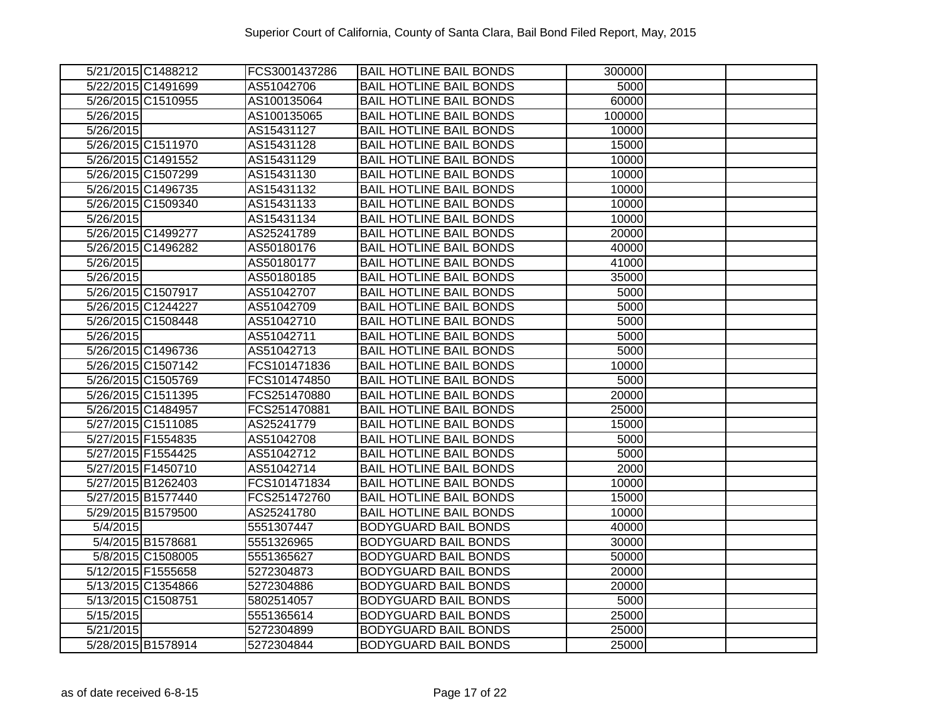|                        | 5/21/2015 C1488212 | FCS3001437286 | <b>BAIL HOTLINE BAIL BONDS</b> | 300000 |  |
|------------------------|--------------------|---------------|--------------------------------|--------|--|
|                        | 5/22/2015 C1491699 | AS51042706    | <b>BAIL HOTLINE BAIL BONDS</b> | 5000   |  |
|                        | 5/26/2015 C1510955 | AS100135064   | <b>BAIL HOTLINE BAIL BONDS</b> | 60000  |  |
| 5/26/2015              |                    | AS100135065   | <b>BAIL HOTLINE BAIL BONDS</b> | 100000 |  |
| 5/26/2015              |                    | AS15431127    | <b>BAIL HOTLINE BAIL BONDS</b> | 10000  |  |
|                        | 5/26/2015 C1511970 | AS15431128    | <b>BAIL HOTLINE BAIL BONDS</b> | 15000  |  |
|                        | 5/26/2015 C1491552 | AS15431129    | <b>BAIL HOTLINE BAIL BONDS</b> | 10000  |  |
|                        | 5/26/2015 C1507299 | AS15431130    | <b>BAIL HOTLINE BAIL BONDS</b> | 10000  |  |
|                        | 5/26/2015 C1496735 | AS15431132    | <b>BAIL HOTLINE BAIL BONDS</b> | 10000  |  |
|                        | 5/26/2015 C1509340 | AS15431133    | <b>BAIL HOTLINE BAIL BONDS</b> | 10000  |  |
| $\overline{5}/26/2015$ |                    | AS15431134    | <b>BAIL HOTLINE BAIL BONDS</b> | 10000  |  |
| 5/26/2015 C1499277     |                    | AS25241789    | <b>BAIL HOTLINE BAIL BONDS</b> | 20000  |  |
|                        | 5/26/2015 C1496282 | AS50180176    | <b>BAIL HOTLINE BAIL BONDS</b> | 40000  |  |
| 5/26/2015              |                    | AS50180177    | <b>BAIL HOTLINE BAIL BONDS</b> | 41000  |  |
| 5/26/2015              |                    | AS50180185    | <b>BAIL HOTLINE BAIL BONDS</b> | 35000  |  |
| 5/26/2015 C1507917     |                    | AS51042707    | <b>BAIL HOTLINE BAIL BONDS</b> | 5000   |  |
|                        | 5/26/2015 C1244227 | AS51042709    | <b>BAIL HOTLINE BAIL BONDS</b> | 5000   |  |
|                        | 5/26/2015 C1508448 | AS51042710    | <b>BAIL HOTLINE BAIL BONDS</b> | 5000   |  |
| 5/26/2015              |                    | AS51042711    | <b>BAIL HOTLINE BAIL BONDS</b> | 5000   |  |
|                        | 5/26/2015 C1496736 | AS51042713    | <b>BAIL HOTLINE BAIL BONDS</b> | 5000   |  |
|                        | 5/26/2015 C1507142 | FCS101471836  | <b>BAIL HOTLINE BAIL BONDS</b> | 10000  |  |
|                        | 5/26/2015 C1505769 | FCS101474850  | <b>BAIL HOTLINE BAIL BONDS</b> | 5000   |  |
|                        | 5/26/2015 C1511395 | FCS251470880  | <b>BAIL HOTLINE BAIL BONDS</b> | 20000  |  |
| 5/26/2015 C1484957     |                    | FCS251470881  | <b>BAIL HOTLINE BAIL BONDS</b> | 25000  |  |
|                        | 5/27/2015 C1511085 | AS25241779    | <b>BAIL HOTLINE BAIL BONDS</b> | 15000  |  |
| 5/27/2015 F1554835     |                    | AS51042708    | <b>BAIL HOTLINE BAIL BONDS</b> | 5000   |  |
|                        | 5/27/2015 F1554425 | AS51042712    | <b>BAIL HOTLINE BAIL BONDS</b> | 5000   |  |
| 5/27/2015 F1450710     |                    | AS51042714    | <b>BAIL HOTLINE BAIL BONDS</b> | 2000   |  |
|                        | 5/27/2015 B1262403 | FCS101471834  | <b>BAIL HOTLINE BAIL BONDS</b> | 10000  |  |
|                        | 5/27/2015 B1577440 | FCS251472760  | <b>BAIL HOTLINE BAIL BONDS</b> | 15000  |  |
| 5/29/2015 B1579500     |                    | AS25241780    | <b>BAIL HOTLINE BAIL BONDS</b> | 10000  |  |
| 5/4/2015               |                    | 5551307447    | <b>BODYGUARD BAIL BONDS</b>    | 40000  |  |
|                        | 5/4/2015 B1578681  | 5551326965    | <b>BODYGUARD BAIL BONDS</b>    | 30000  |  |
|                        | 5/8/2015 C1508005  | 5551365627    | <b>BODYGUARD BAIL BONDS</b>    | 50000  |  |
|                        | 5/12/2015 F1555658 | 5272304873    | <b>BODYGUARD BAIL BONDS</b>    | 20000  |  |
|                        | 5/13/2015 C1354866 | 5272304886    | <b>BODYGUARD BAIL BONDS</b>    | 20000  |  |
|                        | 5/13/2015 C1508751 | 5802514057    | <b>BODYGUARD BAIL BONDS</b>    | 5000   |  |
| 5/15/2015              |                    | 5551365614    | <b>BODYGUARD BAIL BONDS</b>    | 25000  |  |
| 5/21/2015              |                    | 5272304899    | <b>BODYGUARD BAIL BONDS</b>    | 25000  |  |
|                        | 5/28/2015 B1578914 | 5272304844    | <b>BODYGUARD BAIL BONDS</b>    | 25000  |  |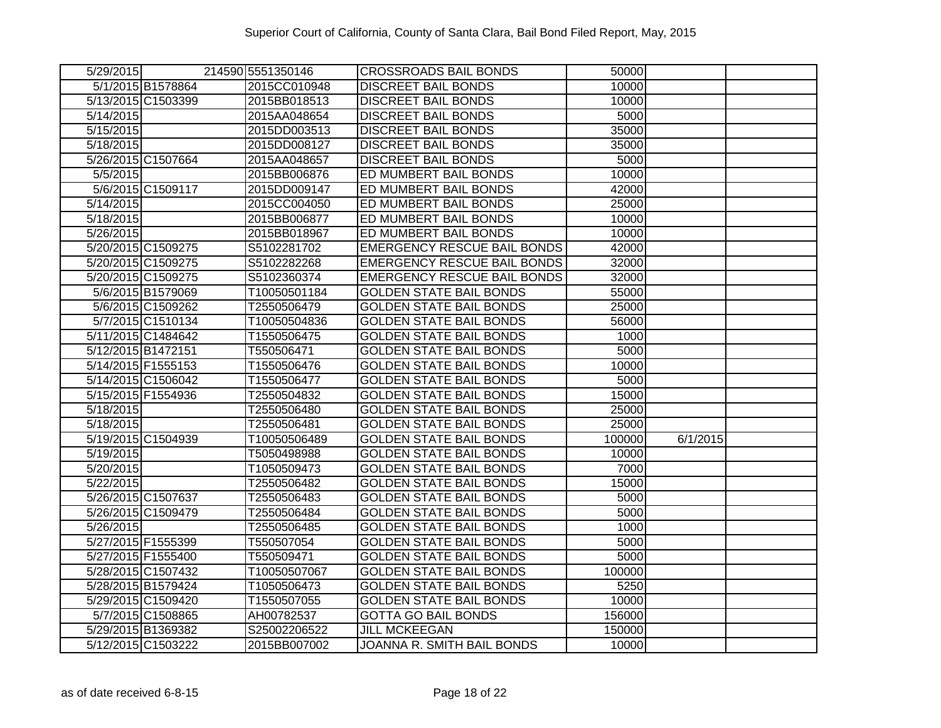| 5/29/2015          | 214590 5551350146 | <b>CROSSROADS BAIL BONDS</b>       | 50000              |          |  |
|--------------------|-------------------|------------------------------------|--------------------|----------|--|
| 5/1/2015 B1578864  | 2015CC010948      | <b>DISCREET BAIL BONDS</b>         | 10000              |          |  |
| 5/13/2015 C1503399 | 2015BB018513      | <b>DISCREET BAIL BONDS</b>         | $\overline{10000}$ |          |  |
| 5/14/2015          | 2015AA048654      | <b>DISCREET BAIL BONDS</b>         | 5000               |          |  |
| 5/15/2015          | 2015DD003513      | <b>DISCREET BAIL BONDS</b>         | 35000              |          |  |
| 5/18/2015          | 2015DD008127      | <b>DISCREET BAIL BONDS</b>         | 35000              |          |  |
| 5/26/2015 C1507664 | 2015AA048657      | <b>DISCREET BAIL BONDS</b>         | 5000               |          |  |
| 5/5/2015           | 2015BB006876      | ED MUMBERT BAIL BONDS              | 10000              |          |  |
| 5/6/2015 C1509117  | 2015DD009147      | ED MUMBERT BAIL BONDS              | 42000              |          |  |
| 5/14/2015          | 2015CC004050      | ED MUMBERT BAIL BONDS              | 25000              |          |  |
| 5/18/2015          | 2015BB006877      | ED MUMBERT BAIL BONDS              | 10000              |          |  |
| 5/26/2015          | 2015BB018967      | ED MUMBERT BAIL BONDS              | 10000              |          |  |
| 5/20/2015 C1509275 | S5102281702       | <b>EMERGENCY RESCUE BAIL BONDS</b> | 42000              |          |  |
| 5/20/2015 C1509275 | S5102282268       | <b>EMERGENCY RESCUE BAIL BONDS</b> | 32000              |          |  |
| 5/20/2015 C1509275 | S5102360374       | <b>EMERGENCY RESCUE BAIL BONDS</b> | 32000              |          |  |
| 5/6/2015 B1579069  | T10050501184      | <b>GOLDEN STATE BAIL BONDS</b>     | 55000              |          |  |
| 5/6/2015 C1509262  | T2550506479       | <b>GOLDEN STATE BAIL BONDS</b>     | 25000              |          |  |
| 5/7/2015 C1510134  | T10050504836      | <b>GOLDEN STATE BAIL BONDS</b>     | 56000              |          |  |
| 5/11/2015 C1484642 | T1550506475       | <b>GOLDEN STATE BAIL BONDS</b>     | 1000               |          |  |
| 5/12/2015 B1472151 | T550506471        | <b>GOLDEN STATE BAIL BONDS</b>     | 5000               |          |  |
| 5/14/2015 F1555153 | T1550506476       | <b>GOLDEN STATE BAIL BONDS</b>     | 10000              |          |  |
| 5/14/2015 C1506042 | T1550506477       | <b>GOLDEN STATE BAIL BONDS</b>     | 5000               |          |  |
| 5/15/2015 F1554936 | T2550504832       | <b>GOLDEN STATE BAIL BONDS</b>     | 15000              |          |  |
| 5/18/2015          | T2550506480       | <b>GOLDEN STATE BAIL BONDS</b>     | 25000              |          |  |
| 5/18/2015          | T2550506481       | <b>GOLDEN STATE BAIL BONDS</b>     | 25000              |          |  |
| 5/19/2015 C1504939 | T10050506489      | <b>GOLDEN STATE BAIL BONDS</b>     | 100000             | 6/1/2015 |  |
| 5/19/2015          | T5050498988       | <b>GOLDEN STATE BAIL BONDS</b>     | 10000              |          |  |
| 5/20/2015          | T1050509473       | <b>GOLDEN STATE BAIL BONDS</b>     | 7000               |          |  |
| 5/22/2015          | T2550506482       | <b>GOLDEN STATE BAIL BONDS</b>     | 15000              |          |  |
| 5/26/2015 C1507637 | T2550506483       | <b>GOLDEN STATE BAIL BONDS</b>     | 5000               |          |  |
| 5/26/2015 C1509479 | T2550506484       | <b>GOLDEN STATE BAIL BONDS</b>     | 5000               |          |  |
| 5/26/2015          | T2550506485       | <b>GOLDEN STATE BAIL BONDS</b>     | 1000               |          |  |
| 5/27/2015 F1555399 | T550507054        | <b>GOLDEN STATE BAIL BONDS</b>     | 5000               |          |  |
| 5/27/2015 F1555400 | T550509471        | <b>GOLDEN STATE BAIL BONDS</b>     | 5000               |          |  |
| 5/28/2015 C1507432 | T10050507067      | <b>GOLDEN STATE BAIL BONDS</b>     | 100000             |          |  |
| 5/28/2015 B1579424 | T1050506473       | <b>GOLDEN STATE BAIL BONDS</b>     | 5250               |          |  |
| 5/29/2015 C1509420 | T1550507055       | <b>GOLDEN STATE BAIL BONDS</b>     | 10000              |          |  |
| 5/7/2015 C1508865  | AH00782537        | <b>GOTTA GO BAIL BONDS</b>         | 156000             |          |  |
| 5/29/2015 B1369382 | S25002206522      | <b>JILL MCKEEGAN</b>               | 150000             |          |  |
| 5/12/2015 C1503222 | 2015BB007002      | JOANNA R. SMITH BAIL BONDS         | 10000              |          |  |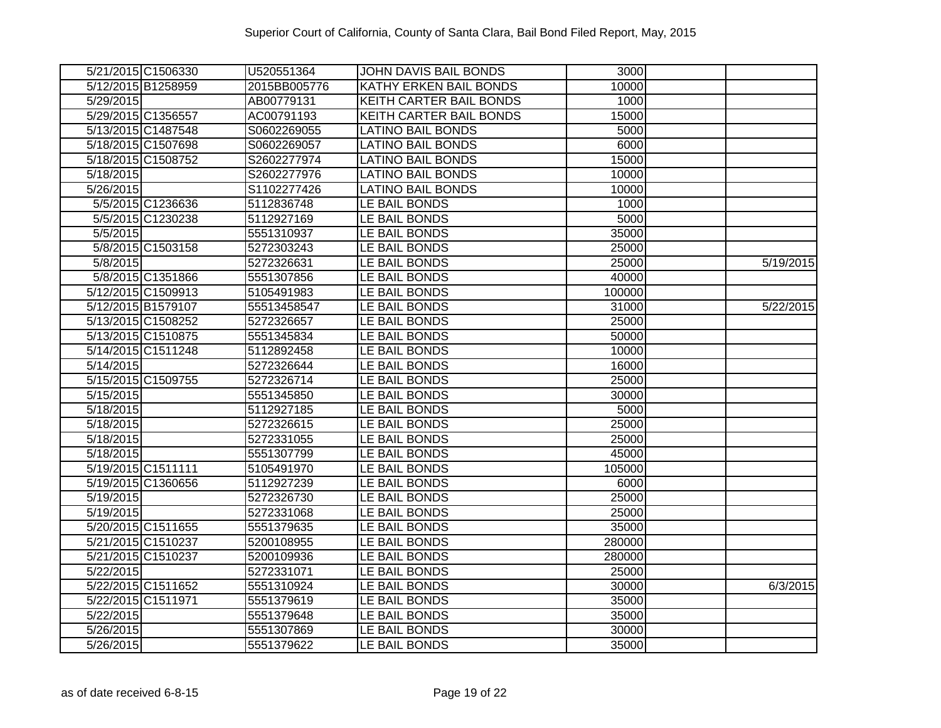|                        | 5/21/2015 C1506330 | U520551364   | <b>JOHN DAVIS BAIL BONDS</b>   | 3000   |           |
|------------------------|--------------------|--------------|--------------------------------|--------|-----------|
|                        | 5/12/2015 B1258959 | 2015BB005776 | <b>KATHY ERKEN BAIL BONDS</b>  | 10000  |           |
| 5/29/2015              |                    | AB00779131   | <b>KEITH CARTER BAIL BONDS</b> | 1000   |           |
| 5/29/2015 C1356557     |                    | AC00791193   | <b>KEITH CARTER BAIL BONDS</b> | 15000  |           |
|                        | 5/13/2015 C1487548 | S0602269055  | <b>LATINO BAIL BONDS</b>       | 5000   |           |
|                        | 5/18/2015 C1507698 | S0602269057  | <b>LATINO BAIL BONDS</b>       | 6000   |           |
|                        | 5/18/2015 C1508752 | S2602277974  | <b>LATINO BAIL BONDS</b>       | 15000  |           |
| 5/18/2015              |                    | S2602277976  | <b>LATINO BAIL BONDS</b>       | 10000  |           |
| 5/26/2015              |                    | S1102277426  | <b>LATINO BAIL BONDS</b>       | 10000  |           |
|                        | 5/5/2015 C1236636  | 5112836748   | LE BAIL BONDS                  | 1000   |           |
|                        | 5/5/2015 C1230238  | 5112927169   | LE BAIL BONDS                  | 5000   |           |
| 5/5/2015               |                    | 5551310937   | LE BAIL BONDS                  | 35000  |           |
|                        | 5/8/2015 C1503158  | 5272303243   | LE BAIL BONDS                  | 25000  |           |
| 5/8/2015               |                    | 5272326631   | LE BAIL BONDS                  | 25000  | 5/19/2015 |
|                        | 5/8/2015 C1351866  | 5551307856   | LE BAIL BONDS                  | 40000  |           |
|                        | 5/12/2015 C1509913 | 5105491983   | LE BAIL BONDS                  | 100000 |           |
| 5/12/2015 B1579107     |                    | 55513458547  | LE BAIL BONDS                  | 31000  | 5/22/2015 |
|                        | 5/13/2015 C1508252 | 5272326657   | LE BAIL BONDS                  | 25000  |           |
|                        | 5/13/2015 C1510875 | 5551345834   | LE BAIL BONDS                  | 50000  |           |
|                        | 5/14/2015 C1511248 | 5112892458   | LE BAIL BONDS                  | 10000  |           |
| 5/14/2015              |                    | 5272326644   | LE BAIL BONDS                  | 16000  |           |
|                        | 5/15/2015 C1509755 | 5272326714   | LE BAIL BONDS                  | 25000  |           |
| 5/15/2015              |                    | 5551345850   | LE BAIL BONDS                  | 30000  |           |
| 5/18/2015              |                    | 5112927185   | LE BAIL BONDS                  | 5000   |           |
| 5/18/2015              |                    | 5272326615   | LE BAIL BONDS                  | 25000  |           |
| 5/18/2015              |                    | 5272331055   | LE BAIL BONDS                  | 25000  |           |
| 5/18/2015              |                    | 5551307799   | LE BAIL BONDS                  | 45000  |           |
| 5/19/2015 C1511111     |                    | 5105491970   | LE BAIL BONDS                  | 105000 |           |
|                        | 5/19/2015 C1360656 | 5112927239   | LE BAIL BONDS                  | 6000   |           |
| 5/19/2015              |                    | 5272326730   | LE BAIL BONDS                  | 25000  |           |
| 5/19/2015              |                    | 5272331068   | LE BAIL BONDS                  | 25000  |           |
|                        | 5/20/2015 C1511655 | 5551379635   | LE BAIL BONDS                  | 35000  |           |
|                        | 5/21/2015 C1510237 | 5200108955   | LE BAIL BONDS                  | 280000 |           |
|                        | 5/21/2015 C1510237 | 5200109936   | LE BAIL BONDS                  | 280000 |           |
| 5/22/2015              |                    | 5272331071   | LE BAIL BONDS                  | 25000  |           |
|                        | 5/22/2015 C1511652 | 5551310924   | LE BAIL BONDS                  | 30000  | 6/3/2015  |
| 5/22/2015 C1511971     |                    | 5551379619   | LE BAIL BONDS                  | 35000  |           |
| 5/22/2015              |                    | 5551379648   | LE BAIL BONDS                  | 35000  |           |
| $\overline{5/26/2015}$ |                    | 5551307869   | LE BAIL BONDS                  | 30000  |           |
| 5/26/2015              |                    | 5551379622   | LE BAIL BONDS                  | 35000  |           |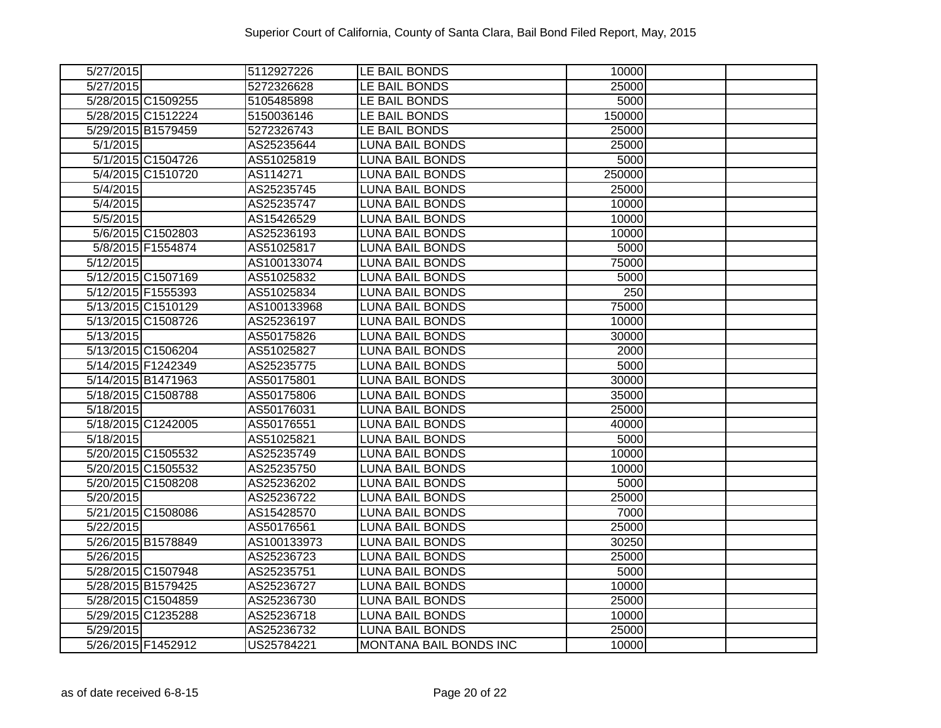| 5/27/2015              | 5112927226  | LE BAIL BONDS                 | 10000  |  |
|------------------------|-------------|-------------------------------|--------|--|
| 5/27/2015              | 5272326628  | LE BAIL BONDS                 | 25000  |  |
| 5/28/2015 C1509255     | 5105485898  | LE BAIL BONDS                 | 5000   |  |
| 5/28/2015 C1512224     | 5150036146  | LE BAIL BONDS                 | 150000 |  |
| 5/29/2015 B1579459     | 5272326743  | LE BAIL BONDS                 | 25000  |  |
| 5/1/2015               | AS25235644  | LUNA BAIL BONDS               | 25000  |  |
| 5/1/2015 C1504726      | AS51025819  | LUNA BAIL BONDS               | 5000   |  |
| 5/4/2015 C1510720      | AS114271    | <b>LUNA BAIL BONDS</b>        | 250000 |  |
| 5/4/2015               | AS25235745  | <b>LUNA BAIL BONDS</b>        | 25000  |  |
| 5/4/2015               | AS25235747  | <b>LUNA BAIL BONDS</b>        | 10000  |  |
| 5/5/2015               | AS15426529  | <b>LUNA BAIL BONDS</b>        | 10000  |  |
| 5/6/2015 C1502803      | AS25236193  | <b>LUNA BAIL BONDS</b>        | 10000  |  |
| 5/8/2015 F1554874      | AS51025817  | <b>LUNA BAIL BONDS</b>        | 5000   |  |
| 5/12/2015              | AS100133074 | <b>LUNA BAIL BONDS</b>        | 75000  |  |
| 5/12/2015 C1507169     | AS51025832  | <b>LUNA BAIL BONDS</b>        | 5000   |  |
| 5/12/2015 F1555393     | AS51025834  | <b>LUNA BAIL BONDS</b>        | 250    |  |
| 5/13/2015 C1510129     | AS100133968 | <b>LUNA BAIL BONDS</b>        | 75000  |  |
| 5/13/2015 C1508726     | AS25236197  | <b>LUNA BAIL BONDS</b>        | 10000  |  |
| 5/13/2015              | AS50175826  | <b>LUNA BAIL BONDS</b>        | 30000  |  |
| 5/13/2015 C1506204     | AS51025827  | <b>LUNA BAIL BONDS</b>        | 2000   |  |
| 5/14/2015 F1242349     | AS25235775  | <b>LUNA BAIL BONDS</b>        | 5000   |  |
| 5/14/2015 B1471963     | AS50175801  | LUNA BAIL BONDS               | 30000  |  |
| 5/18/2015 C1508788     | AS50175806  | <b>LUNA BAIL BONDS</b>        | 35000  |  |
| 5/18/2015              | AS50176031  | <b>LUNA BAIL BONDS</b>        | 25000  |  |
| 5/18/2015 C1242005     | AS50176551  | <b>LUNA BAIL BONDS</b>        | 40000  |  |
| 5/18/2015              | AS51025821  | <b>LUNA BAIL BONDS</b>        | 5000   |  |
| 5/20/2015 C1505532     | AS25235749  | <b>LUNA BAIL BONDS</b>        | 10000  |  |
| 5/20/2015 C1505532     | AS25235750  | <b>LUNA BAIL BONDS</b>        | 10000  |  |
| 5/20/2015 C1508208     | AS25236202  | <b>LUNA BAIL BONDS</b>        | 5000   |  |
| 5/20/2015              | AS25236722  | <b>LUNA BAIL BONDS</b>        | 25000  |  |
| 5/21/2015 C1508086     | AS15428570  | <b>LUNA BAIL BONDS</b>        | 7000   |  |
| 5/22/2015              | AS50176561  | <b>LUNA BAIL BONDS</b>        | 25000  |  |
| 5/26/2015 B1578849     | AS100133973 | <b>LUNA BAIL BONDS</b>        | 30250  |  |
| $\overline{5/26/2015}$ | AS25236723  | <b>LUNA BAIL BONDS</b>        | 25000  |  |
| 5/28/2015 C1507948     | AS25235751  | <b>LUNA BAIL BONDS</b>        | 5000   |  |
| 5/28/2015 B1579425     | AS25236727  | <b>LUNA BAIL BONDS</b>        | 10000  |  |
| 5/28/2015 C1504859     | AS25236730  | <b>LUNA BAIL BONDS</b>        | 25000  |  |
| 5/29/2015 C1235288     | AS25236718  | <b>LUNA BAIL BONDS</b>        | 10000  |  |
| 5/29/2015              | AS25236732  | <b>LUNA BAIL BONDS</b>        | 25000  |  |
| 5/26/2015 F1452912     | US25784221  | <b>MONTANA BAIL BONDS INC</b> | 10000  |  |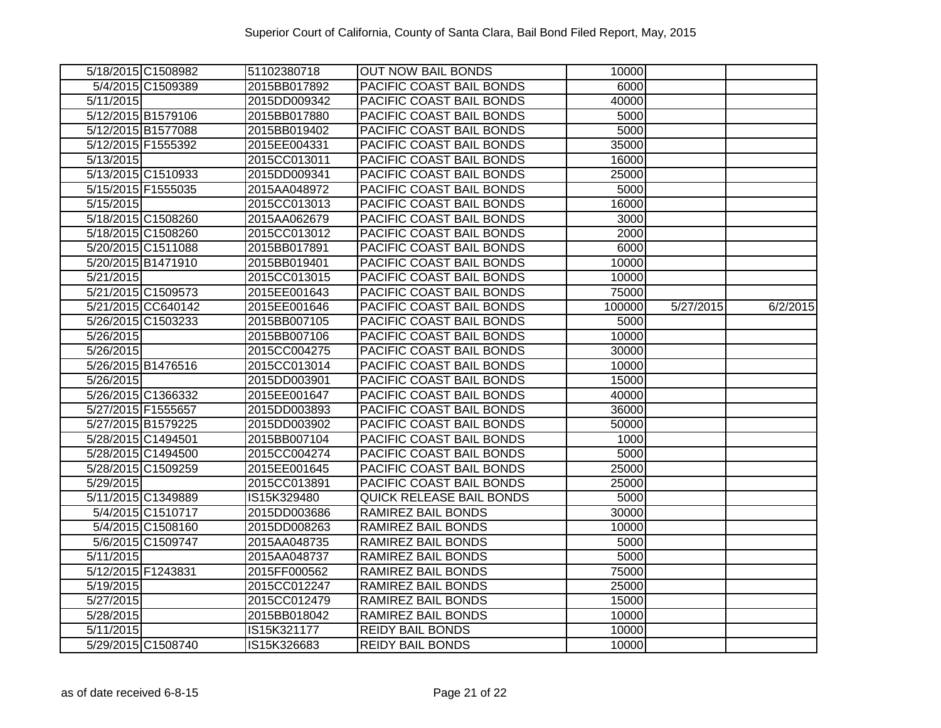| 5/18/2015 C1508982 | 51102380718  | <b>OUT NOW BAIL BONDS</b>       | 10000  |           |          |
|--------------------|--------------|---------------------------------|--------|-----------|----------|
| 5/4/2015 C1509389  | 2015BB017892 | PACIFIC COAST BAIL BONDS        | 6000   |           |          |
| 5/11/2015          | 2015DD009342 | PACIFIC COAST BAIL BONDS        | 40000  |           |          |
| 5/12/2015 B1579106 | 2015BB017880 | PACIFIC COAST BAIL BONDS        | 5000   |           |          |
| 5/12/2015 B1577088 | 2015BB019402 | PACIFIC COAST BAIL BONDS        | 5000   |           |          |
| 5/12/2015 F1555392 | 2015EE004331 | PACIFIC COAST BAIL BONDS        | 35000  |           |          |
| 5/13/2015          | 2015CC013011 | PACIFIC COAST BAIL BONDS        | 16000  |           |          |
| 5/13/2015 C1510933 | 2015DD009341 | PACIFIC COAST BAIL BONDS        | 25000  |           |          |
| 5/15/2015 F1555035 | 2015AA048972 | PACIFIC COAST BAIL BONDS        | 5000   |           |          |
| 5/15/2015          | 2015CC013013 | PACIFIC COAST BAIL BONDS        | 16000  |           |          |
| 5/18/2015 C1508260 | 2015AA062679 | PACIFIC COAST BAIL BONDS        | 3000   |           |          |
| 5/18/2015 C1508260 | 2015CC013012 | PACIFIC COAST BAIL BONDS        | 2000   |           |          |
| 5/20/2015 C1511088 | 2015BB017891 | PACIFIC COAST BAIL BONDS        | 6000   |           |          |
| 5/20/2015 B1471910 | 2015BB019401 | PACIFIC COAST BAIL BONDS        | 10000  |           |          |
| 5/21/2015          | 2015CC013015 | PACIFIC COAST BAIL BONDS        | 10000  |           |          |
| 5/21/2015 C1509573 | 2015EE001643 | PACIFIC COAST BAIL BONDS        | 75000  |           |          |
| 5/21/2015 CC640142 | 2015EE001646 | PACIFIC COAST BAIL BONDS        | 100000 | 5/27/2015 | 6/2/2015 |
| 5/26/2015 C1503233 | 2015BB007105 | PACIFIC COAST BAIL BONDS        | 5000   |           |          |
| 5/26/2015          | 2015BB007106 | PACIFIC COAST BAIL BONDS        | 10000  |           |          |
| 5/26/2015          | 2015CC004275 | PACIFIC COAST BAIL BONDS        | 30000  |           |          |
| 5/26/2015 B1476516 | 2015CC013014 | PACIFIC COAST BAIL BONDS        | 10000  |           |          |
| 5/26/2015          | 2015DD003901 | PACIFIC COAST BAIL BONDS        | 15000  |           |          |
| 5/26/2015 C1366332 | 2015EE001647 | PACIFIC COAST BAIL BONDS        | 40000  |           |          |
| 5/27/2015 F1555657 | 2015DD003893 | PACIFIC COAST BAIL BONDS        | 36000  |           |          |
| 5/27/2015 B1579225 | 2015DD003902 | PACIFIC COAST BAIL BONDS        | 50000  |           |          |
| 5/28/2015 C1494501 | 2015BB007104 | PACIFIC COAST BAIL BONDS        | 1000   |           |          |
| 5/28/2015 C1494500 | 2015CC004274 | PACIFIC COAST BAIL BONDS        | 5000   |           |          |
| 5/28/2015 C1509259 | 2015EE001645 | PACIFIC COAST BAIL BONDS        | 25000  |           |          |
| 5/29/2015          | 2015CC013891 | PACIFIC COAST BAIL BONDS        | 25000  |           |          |
| 5/11/2015 C1349889 | IS15K329480  | <b>QUICK RELEASE BAIL BONDS</b> | 5000   |           |          |
| 5/4/2015 C1510717  | 2015DD003686 | RAMIREZ BAIL BONDS              | 30000  |           |          |
| 5/4/2015 C1508160  | 2015DD008263 | <b>RAMIREZ BAIL BONDS</b>       | 10000  |           |          |
| 5/6/2015 C1509747  | 2015AA048735 | RAMIREZ BAIL BONDS              | 5000   |           |          |
| 5/11/2015          | 2015AA048737 | <b>RAMIREZ BAIL BONDS</b>       | 5000   |           |          |
| 5/12/2015 F1243831 | 2015FF000562 | <b>RAMIREZ BAIL BONDS</b>       | 75000  |           |          |
| 5/19/2015          | 2015CC012247 | RAMIREZ BAIL BONDS              | 25000  |           |          |
| 5/27/2015          | 2015CC012479 | RAMIREZ BAIL BONDS              | 15000  |           |          |
| 5/28/2015          | 2015BB018042 | RAMIREZ BAIL BONDS              | 10000  |           |          |
| 5/11/2015          | IS15K321177  | <b>REIDY BAIL BONDS</b>         | 10000  |           |          |
| 5/29/2015 C1508740 | IS15K326683  | <b>REIDY BAIL BONDS</b>         | 10000  |           |          |